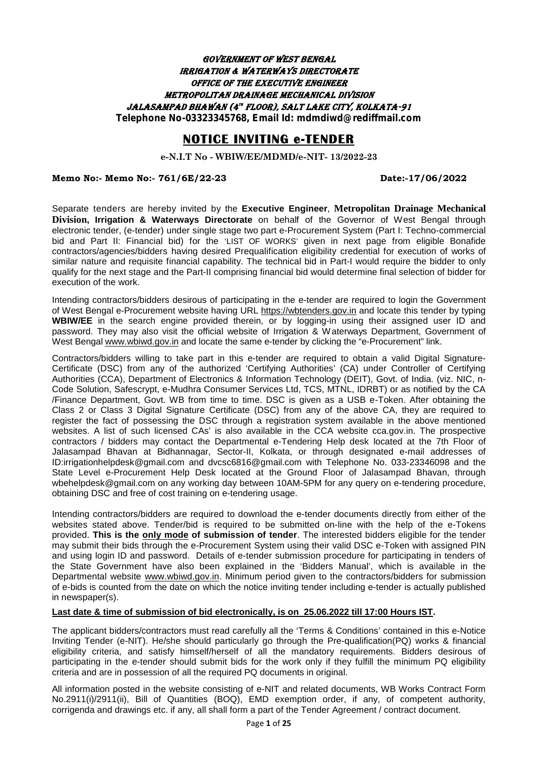#### *Government of West Bengal Irrigation & Waterways Directorate Office of the Executive Engineer Metropolitan Drainage Mechanical Division Jalasampad Bhawan (4th floor), Salt Lake City, Kolkata-91 Telephone No-03323345768, Email Id: mdmdiwd@rediffmail.com*

# **NOTICE INVITING e-TENDER**

**e-N.I.T No - WBIW/EE/MDMD/e-NIT- 13/2022-23**

#### **Memo No:- Memo No:- 761/6E/22-23 Date:-17/06/2022**

Separate tenders are hereby invited by the **Executive Engineer**, **Metropolitan Drainage Mechanical Division, Irrigation & Waterways Directorate** on behalf of the Governor of West Bengal through electronic tender, (e-tender) under single stage two part e-Procurement System (Part I: Techno-commercial bid and Part II: Financial bid) for the 'LIST OF WORKS' given in next page from eligible Bonafide contractors/agencies/bidders having desired Prequalification eligibility credential for execution of works of similar nature and requisite financial capability. The technical bid in Part-I would require the bidder to only qualify for the next stage and the Part-II comprising financial bid would determine final selection of bidder for execution of the work.

Intending contractors/bidders desirous of participating in the e-tender are required to login the Government of West Bengal e-Procurement website having URL https://wbtenders.gov.in and locate this tender by typing **WBIW/EE** in the search engine provided therein, or by logging-in using their assigned user ID and password. They may also visit the official website of Irrigation & Waterways Department, Government of West Bengal www.wbiwd.gov.in and locate the same e-tender by clicking the "e-Procurement" link.

Contractors/bidders willing to take part in this e-tender are required to obtain a valid Digital Signature- Certificate (DSC) from any of the authorized 'Certifying Authorities' (CA) under Controller of Certifying Authorities (CCA), Department of Electronics & Information Technology (DEIT), Govt. of India. (viz. NIC, n- Code Solution, Safescrypt, e-Mudhra Consumer Services Ltd, TCS, MTNL, IDRBT) or as notified by the CA /Finance Department, Govt. WB from time to time. DSC is given as a USB e-Token. After obtaining the Class 2 or Class 3 Digital Signature Certificate (DSC) from any of the above CA, they are required to register the fact of possessing the DSC through a registration system available in the above mentioned websites. A list of such licensed CAs' is also available in the CCA website cca.gov.in. The prospective contractors / bidders may contact the Departmental e-Tendering Help desk located at the 7th Floor of Jalasampad Bhavan at Bidhannagar, Sector-II, Kolkata, or through designated e-mail addresses of ID:irrigationhelpdesk@gmail.com and dvcsc6816@gmail.com with Telephone No. 033-23346098 and the State Level e-Procurement Help Desk located at the Ground Floor of Jalasampad Bhavan, through wbehelpdesk@gmail.com on any working day between 10AM-5PM for any query on e-tendering procedure, obtaining DSC and free of cost training on e-tendering usage.

Intending contractors/bidders are required to download the e-tender documents directly from either of the websites stated above. Tender/bid is required to be submitted on-line with the help of the e-Tokens provided. **This is the only mode of submission of tender**. The interested bidders eligible for the tender may submit their bids through the e-Procurement System using their valid DSC e-Token with assigned PIN and using login ID and password. Details of e-tender submission procedure for participating in tenders of the State Government have also been explained in the 'Bidders Manual', which is available in the Departmental website www.wbiwd.gov.in. Minimum period given to the contractors/bidders for submission of e-bids is counted from the date on which the notice inviting tender including e-tender is actually published in newspaper(s).

#### **Last date & time of submission of bid electronically, is on 25.06.2022 till 17:00 Hours IST.**

The applicant bidders/contractors must read carefully all the 'Terms & Conditions' contained in this e-Notice Inviting Tender (e-NIT). He/she should particularly go through the Pre-qualification(PQ) works & financial eligibility criteria, and satisfy himself/herself of all the mandatory requirements. Bidders desirous of participating in the e-tender should submit bids for the work only if they fulfill the minimum PQ eligibility criteria and are in possession of all the required PQ documents in original.

All information posted in the website consisting of e-NIT and related documents, WB Works Contract Form No.2911(i)/2911(ii), Bill of Quantities (BOQ), EMD exemption order, if any, of competent authority, corrigenda and drawings etc. if any, all shall form a part of the Tender Agreement / contract document.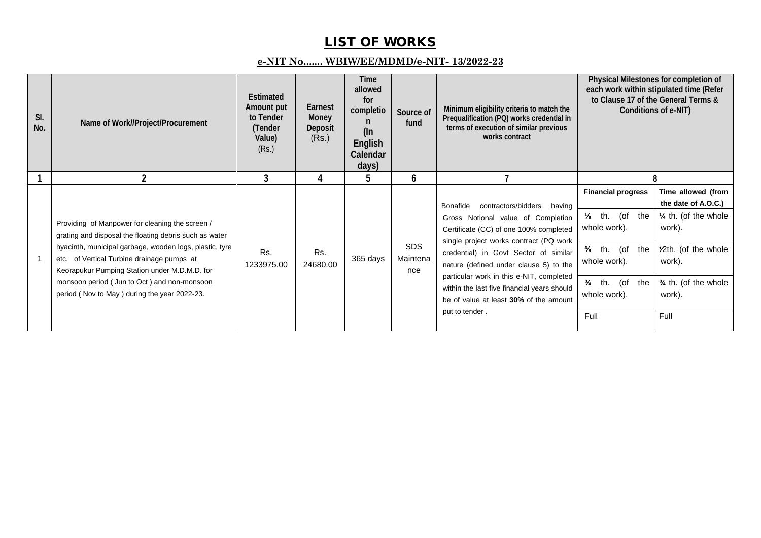# **LIST OF WORKS**

## **e-NIT No....... WBIW/EE/MDMD/e-NIT- 13/2022-23**

| SI.<br>No. | Name of Work//Project/Procurement                                                                                                                                                                                                                                                                                                                                  | Estimated<br>Amount put<br>to Tender<br>(Tender<br>Value)<br>(Rs.) | Earnest<br>Money<br>Deposit<br>(Rs.) | Time<br>allowed<br>for<br>completio<br>n<br>$($ ln<br>English<br>Calendar<br>days) | Source of<br>fund             | Minimum eligibility criteria to match the<br>Prequalification (PQ) works credential in<br>terms of execution of similar previous<br>works contract                                                                                                                                                                                                                                                            |                                                                                                                                                             | Physical Milestones for completion of<br>each work within stipulated time (Refer<br>to Clause 17 of the General Terms &<br>Conditions of e-NIT)                    |
|------------|--------------------------------------------------------------------------------------------------------------------------------------------------------------------------------------------------------------------------------------------------------------------------------------------------------------------------------------------------------------------|--------------------------------------------------------------------|--------------------------------------|------------------------------------------------------------------------------------|-------------------------------|---------------------------------------------------------------------------------------------------------------------------------------------------------------------------------------------------------------------------------------------------------------------------------------------------------------------------------------------------------------------------------------------------------------|-------------------------------------------------------------------------------------------------------------------------------------------------------------|--------------------------------------------------------------------------------------------------------------------------------------------------------------------|
|            | 2                                                                                                                                                                                                                                                                                                                                                                  | 3                                                                  | 4                                    | 5                                                                                  | 6                             |                                                                                                                                                                                                                                                                                                                                                                                                               |                                                                                                                                                             | R                                                                                                                                                                  |
|            | Providing of Manpower for cleaning the screen /<br>grating and disposal the floating debris such as water<br>hyacinth, municipal garbage, wooden logs, plastic, tyre<br>etc. of Vertical Turbine drainage pumps at<br>Keorapukur Pumping Station under M.D.M.D. for<br>monsoon period (Jun to Oct) and non-monsoon<br>period (Nov to May) during the year 2022-23. | Rs.<br>1233975.00                                                  | Rs.<br>24680.00                      | 365 days                                                                           | <b>SDS</b><br>Maintena<br>nce | contractors/bidders<br>Bonafide<br>having<br>Gross Notional value of Completion<br>Certificate (CC) of one 100% completed<br>single project works contract (PQ work<br>credential) in Govt Sector of similar<br>nature (defined under clause 5) to the<br>particular work in this e-NIT, completed<br>within the last five financial years should<br>be of value at least 30% of the amount<br>put to tender. | <b>Financial progress</b><br>th.<br>(of<br>the<br>whole work).<br>th. (of<br>the<br>whole work).<br>$\frac{3}{4}$<br>th. (of<br>the<br>whole work).<br>Full | Time allowed (from<br>the date of A.O.C.)<br>$\frac{1}{4}$ th. (of the whole<br>work).<br>12th. (of the whole<br>work).<br>3/4 th. (of the whole<br>work).<br>Full |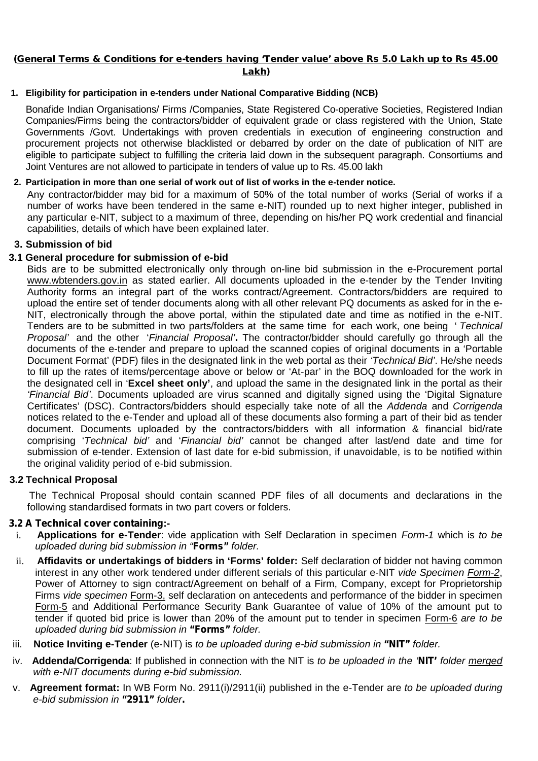**Lakh)**

#### **1. Eligibility for participation in e-tenders under National Comparative Bidding (NCB)**

Bonafide Indian Organisations/ Firms /Companies, State Registered Co-operative Societies, Registered Indian Companies/Firms being the contractors/bidder of equivalent grade or class registered with the Union, State Governments /Govt. Undertakings with proven credentials in execution of engineering construction and procurement projects not otherwise blacklisted or debarred by order on the date of publication of NIT are eligible to participate subject to fulfilling the criteria laid down in the subsequent paragraph. Consortiums and Joint Ventures are not allowed to participate in tenders of value up to Rs. 45.00 lakh

# **2. Participation in more than one serial of work out of list of works in the e-tender notice.**

Any contractor/bidder may bid for a maximum of 50% of the total number of works (Serial of works if a number of works have been tendered in the same e-NIT) rounded up to next higher integer, published in any particular e-NIT, subject to a maximum of three, depending on his/her PQ work credential and financial capabilities, details of which have been explained later.

## **3. Submission of bid**

## **3.1 General procedure for submission of e-bid**

Bids are to be submitted electronically only through on-line bid submission in the e-Procurement portal www.wbtenders.gov.in as stated earlier. All documents uploaded in the e-tender by the Tender Inviting Authority forms an integral part of the works contract/Agreement. Contractors/bidders are required to upload the entire set of tender documents along with all other relevant PQ documents as asked for in the e- NIT, electronically through the above portal, within the stipulated date and time as notified in the e-NIT. Tenders are to be submitted in two parts/folders at the same time for each work, one being ' *Technical Proposal'* and the other '*Financial Proposal'.* The contractor/bidder should carefully go through all the documents of the e-tender and prepare to upload the scanned copies of original documents in a 'Portable Document Format' (PDF) files in the designated link in the web portal as their *'Technical Bid'*. He/she needs to fill up the rates of items/percentage above or below or 'At-par' in the BOQ downloaded for the work in the designated cell in '**Excel sheet only'**, and upload the same in the designated link in the portal as their *'Financial Bid'*. Documents uploaded are virus scanned and digitally signed using the 'Digital Signature Certificates' (DSC). Contractors/bidders should especially take note of all the *Addenda* and *Corrigenda* notices related to the e-Tender and upload all of these documents also forming a part of their bid as tender document. Documents uploaded by the contractors/bidders with all information & financial bid/rate comprising '*Technical bid'* and '*Financial bid'* cannot be changed after last/end date and time for submission of e-tender. Extension of last date for e-bid submission, if unavoidable, is to be notified within the original validity period of e-bid submission.

# **3.2 Technical Proposal**

The Technical Proposal should contain scanned PDF files of all documents and declarations in the following standardised formats in two part covers or folders.

# *3.2 A Technical cover containing***:-**

- i. **Applications for e-Tender**: vide application with Self Declaration in specimen *Form-1* which is *to be uploaded during bid submission in "Forms" folder.*
- ii. **Affidavits or undertakings of bidders in 'Forms' folder:** Self declaration of bidder not having common interest in any other work tendered under different serials of this particular e-NIT *vide Specimen Form-2*, Power of Attorney to sign contract/Agreement on behalf of a Firm, Company, except for Proprietorship Firms *vide specimen* Form-3, self declaration on antecedents and performance of the bidder in specimen Form-5 and Additional Performance Security Bank Guarantee of value of 10% of the amount put to tender if quoted bid price is lower than 20% of the amount put to tender in specimen Form-6 *are to be uploaded during bid submission in "Forms" folder.*
- iii. **Notice Inviting e-Tender** (e-NIT) is *to be uploaded during e-bid submission in "NIT" folder.*
- iv. **Addenda/Corrigenda**: If published in connection with the NIT is *to be uploaded in the 'NIT' folder merged with e-NIT documents during e-bid submission.*
- v. **Agreement format:** In WB Form No. 2911(i)/2911(ii) published in the e-Tender are *to be uploaded during e-bid submission in "2911" folder.*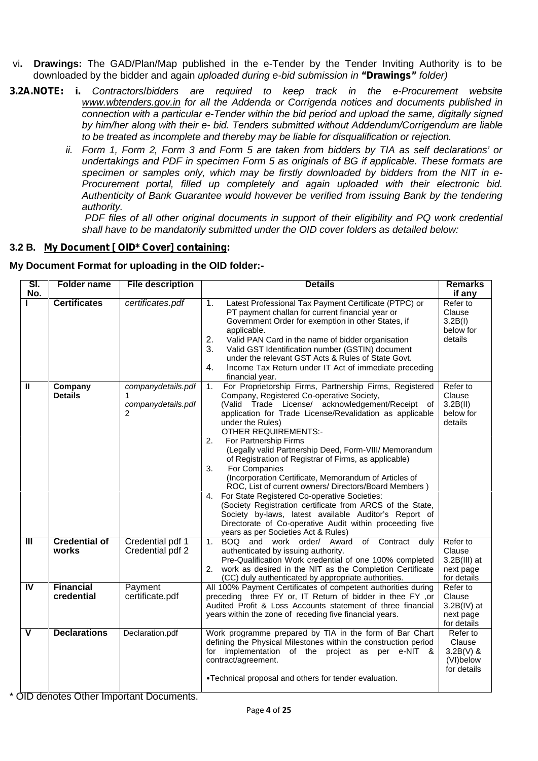- vi**. Drawings:** The GAD/Plan/Map published in the e-Tender by the Tender Inviting Authority is to be downloaded by the bidder and again *uploaded during e-bid submission in "Drawings" folder)*
- *3.2A.NOTE: i. Contractors*/*bidders are required to keep track in the e-Procurement website www.wbtenders.gov.in for all the Addenda or Corrigenda notices and documents published in connection with a particular e-Tender within the bid period and upload the same, digitally signed by him/her along with their e- bid. Tenders submitted without Addendum/Corrigendum are liable to be treated as incomplete and thereby may be liable for disqualification or rejection.*
	- *ii. Form 1, Form 2, Form 3 and Form 5 are taken from bidders by TIA as self declarations' or undertakings and PDF in specimen Form 5 as originals of BG if applicable. These formats are specimen or samples only, which may be firstly downloaded by bidders from the NIT in e- Procurement portal, filled up completely and again uploaded with their electronic bid. Authenticity of Bank Guarantee would however be verified from issuing Bank by the tendering authority.*

*PDF files of all other original documents in support of their eligibility and PQ work credential shall have to be mandatorily submitted under the OID cover folders as detailed below:*

## **3.2 B.** *My Document [ OID\* Cover] containing:*

#### **My Document Format for uploading in the OID folder:-**

| SI.<br>No.     | <b>Folder name</b>             | <b>File description</b>                       | <b>Details</b>                                                                                                                                                                                                                                                                                                                                                                                                                                                                                                                                                                                                                                                                                                                                                                                                                                       | <b>Remarks</b><br>if any                                         |
|----------------|--------------------------------|-----------------------------------------------|------------------------------------------------------------------------------------------------------------------------------------------------------------------------------------------------------------------------------------------------------------------------------------------------------------------------------------------------------------------------------------------------------------------------------------------------------------------------------------------------------------------------------------------------------------------------------------------------------------------------------------------------------------------------------------------------------------------------------------------------------------------------------------------------------------------------------------------------------|------------------------------------------------------------------|
|                | <b>Certificates</b>            | certificates.pdf                              | Latest Professional Tax Payment Certificate (PTPC) or<br>1 <sub>1</sub><br>PT payment challan for current financial year or<br>Government Order for exemption in other States, if<br>applicable.<br>2.<br>Valid PAN Card in the name of bidder organisation<br>3.<br>Valid GST Identification number (GSTIN) document<br>under the relevant GST Acts & Rules of State Govt.<br>Income Tax Return under IT Act of immediate preceding<br>4.<br>financial year.                                                                                                                                                                                                                                                                                                                                                                                        | Refer to<br>Clause<br>3.2B(1)<br>below for<br>details            |
| $\mathbf{I}$   | Company<br><b>Details</b>      | companydetails.pdf<br>companydetails.pdf<br>2 | For Proprietorship Firms, Partnership Firms, Registered<br>1.<br>Company, Registered Co-operative Society,<br>(Valid Trade License/ acknowledgement/Receipt of<br>application for Trade License/Revalidation as applicable<br>under the Rules)<br><b>OTHER REQUIREMENTS:-</b><br>2.<br>For Partnership Firms<br>(Legally valid Partnership Deed, Form-VIII/ Memorandum<br>of Registration of Registrar of Firms, as applicable)<br>For Companies<br>3.<br>(Incorporation Certificate, Memorandum of Articles of<br>ROC, List of current owners/ Directors/Board Members)<br>4. For State Registered Co-operative Societies:<br>(Society Registration certificate from ARCS of the State,<br>Society by-laws, latest available Auditor's Report of<br>Directorate of Co-operative Audit within proceeding five<br>years as per Societies Act & Rules) | Refer to<br>Clause<br>3.2B(II)<br>below for<br>details           |
| $\mathbf{III}$ | <b>Credential of</b><br>works  | Credential pdf 1<br>Credential pdf 2          | BOQ and work order/ Award of Contract duly<br>1.<br>authenticated by issuing authority.<br>Pre-Qualification Work credential of one 100% completed<br>2. work as desired in the NIT as the Completion Certificate<br>(CC) duly authenticated by appropriate authorities.                                                                                                                                                                                                                                                                                                                                                                                                                                                                                                                                                                             | Refer to<br>Clause<br>$3.2B(III)$ at<br>next page<br>for details |
| $\overline{N}$ | <b>Financial</b><br>credential | Payment<br>certificate.pdf                    | All 100% Payment Certificates of competent authorities during<br>preceding three FY or, IT Return of bidder in thee FY ,or<br>Audited Profit & Loss Accounts statement of three financial<br>years within the zone of receding five financial years.                                                                                                                                                                                                                                                                                                                                                                                                                                                                                                                                                                                                 | Refer to<br>Clause<br>$3.2B(IV)$ at<br>next page<br>for details  |
| V              | <b>Declarations</b>            | Declaration.pdf                               | Work programme prepared by TIA in the form of Bar Chart<br>defining the Physical Milestones within the construction period<br>implementation of the project as per e-NIT &<br>for<br>contract/agreement.<br>•Technical proposal and others for tender evaluation.                                                                                                                                                                                                                                                                                                                                                                                                                                                                                                                                                                                    | Refer to<br>Clause<br>$3.2B(V)$ &<br>(VI)below<br>for details    |

\* OID denotes Other Important Documents.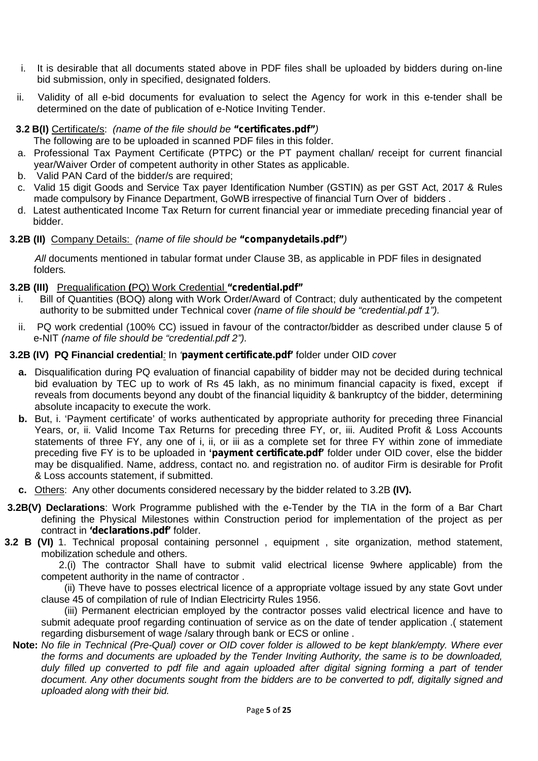- i. It is desirable that all documents stated above in PDF files shall be uploaded by bidders during on-line bid submission, only in specified, designated folders.
- ii. Validity of all e-bid documents for evaluation to select the Agency for work in this e-tender shall be determined on the date of publication of e-Notice Inviting Tender.
- **3.2 B(I)** Certificate/s: *(name of the file should be "certificates.pdf")* The following are to be uploaded in scanned PDF files in this folder.
- a. Professional Tax Payment Certificate (PTPC) or the PT payment challan/ receipt for current financial year/Waiver Order of competent authority in other States as applicable.
- b. Valid PAN Card of the bidder/s are required;
- c. Valid 15 digit Goods and Service Tax payer Identification Number (GSTIN) as per GST Act, 2017 & Rules made compulsory by Finance Department, GoWB irrespective of financial Turn Over of bidders .
- d. Latest authenticated Income Tax Return for current financial year or immediate preceding financial year of bidder.

#### **3.2B (II)** Company Details: *(name of file should be "companydetails.pdf")*

*All* documents mentioned in tabular format under Clause 3B, as applicable in PDF files in designated folders*.*

#### **3.2B (III)** Prequalification **(**PQ) Work Credential *"credential.pdf"*

- i. Bill of Quantities (BOQ) along with Work Order/Award of Contract; duly authenticated by the competent authority to be submitted under Technical cover *(name of file should be "credential.pdf 1").*
- ii. PQ work credential (100% CC) issued in favour of the contractor/bidder as described under clause 5 of e-NIT *(name of file should be "credential.pdf 2").*

#### **3.2B (IV) PQ Financial credential***:* In *'payment certificate.pdf'* folder under OID *co*ver

- **a.** Disqualification during PQ evaluation of financial capability of bidder may not be decided during technical bid evaluation by TEC up to work of Rs 45 lakh, as no minimum financial capacity is fixed, except if reveals from documents beyond any doubt of the financial liquidity & bankruptcy of the bidder, determining absolute incapacity to execute the work.
- **b.** But, i. 'Payment certificate' of works authenticated by appropriate authority for preceding three Financial Years, or, ii. Valid Income Tax Returns for preceding three FY, or, iii. Audited Profit & Loss Accounts statements of three FY, any one of i, ii, or iii as a complete set for three FY within zone of immediate preceding five FY is to be uploaded in **'***payment certificate.pdf'* folder under OID cover, else the bidder may be disqualified. Name, address, contact no. and registration no. of auditor Firm is desirable for Profit & Loss accounts statement, if submitted.
- **c.** Others: Any other documents considered necessary by the bidder related to 3.2B **(IV).**
- **3.2B(V) Declarations**: Work Programme published with the e-Tender by the TIA in the form of a Bar Chart defining the Physical Milestones within Construction period for implementation of the project as per contract in *'declarations.pdf'* folder.
- **3.2 B (VI)** 1. Technical proposal containing personnel , equipment , site organization, method statement, mobilization schedule and others.

2.(i) The contractor Shall have to submit valid electrical license 9where applicable) from the competent authority in the name of contractor .

(ii) Theve have to posses electrical licence of a appropriate voltage issued by any state Govt under clause 45 of compilation of rule of Indian Electricirty Rules 1956.

(iii) Permanent electrician employed by the contractor posses valid electrical licence and have to submit adequate proof regarding continuation of service as on the date of tender application .( statement regarding disbursement of wage /salary through bank or ECS or online .

**Note:** *No file in Technical (Pre-Qual) cover or OID cover folder is allowed to be kept blank/empty. Where ever the forms and documents are uploaded by the Tender Inviting Authority, the same is to be downloaded, duly filled up converted to pdf file and again uploaded after digital signing forming a part of tender document. Any other documents sought from the bidders are to be converted to pdf, digitally signed and uploaded along with their bid.*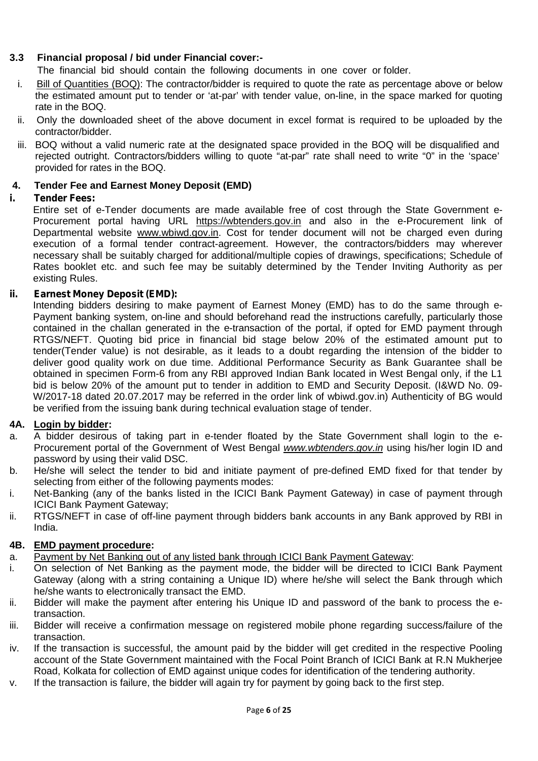# **3.3 Financial proposal / bid under Financial cover:-**

The financial bid should contain the following documents in one cover or folder.

- i. Bill of Quantities (BOQ): The contractor/bidder is required to quote the rate as percentage above or below the estimated amount put to tender or 'at-par' with tender value, on-line, in the space marked for quoting rate in the BOQ.
- ii. Only the downloaded sheet of the above document in excel format is required to be uploaded by the contractor/bidder.
- iii. BOQ without a valid numeric rate at the designated space provided in the BOQ will be disqualified and rejected outright. Contractors/bidders willing to quote "at-par" rate shall need to write "0" in the 'space' provided for rates in the BOQ.

# **4. Tender Fee and Earnest Money Deposit (EMD)**

#### *i. Tender Fees:*

Entire set of e-Tender documents are made available free of cost through the State Government e- Procurement portal having URL https://wbtenders.gov.in and also in the e-Procurement link of Departmental website www.wbiwd.gov.in. Cost for tender document will not be charged even during execution of a formal tender contract-agreement. However, the contractors/bidders may wherever necessary shall be suitably charged for additional/multiple copies of drawings, specifications; Schedule of Rates booklet etc. and such fee may be suitably determined by the Tender Inviting Authority as per existing Rules.

## *ii. Earnest Money Deposit (EMD):*

Intending bidders desiring to make payment of Earnest Money (EMD) has to do the same through e- Payment banking system, on-line and should beforehand read the instructions carefully, particularly those contained in the challan generated in the e-transaction of the portal, if opted for EMD payment through RTGS/NEFT. Quoting bid price in financial bid stage below 20% of the estimated amount put to tender(Tender value) is not desirable, as it leads to a doubt regarding the intension of the bidder to deliver good quality work on due time. Additional Performance Security as Bank Guarantee shall be obtained in specimen Form-6 from any RBI approved Indian Bank located in West Bengal only, if the L1 bid is below 20% of the amount put to tender in addition to EMD and Security Deposit. (I&WD No. 09- W/2017-18 dated 20.07.2017 may be referred in the order link of wbiwd.gov.in) Authenticity of BG would be verified from the issuing bank during technical evaluation stage of tender.

#### **4A. Login by bidder:**

- a. A bidder desirous of taking part in e-tender floated by the State Government shall login to the e- Procurement portal of the Government of West Bengal *www.wbtenders.gov.in* using his/her login ID and password by using their valid DSC.
- b. He/she will select the tender to bid and initiate payment of pre-defined EMD fixed for that tender by selecting from either of the following payments modes:
- i. Net-Banking (any of the banks listed in the ICICI Bank Payment Gateway) in case of payment through ICICI Bank Payment Gateway;
- ii. RTGS/NEFT in case of off-line payment through bidders bank accounts in any Bank approved by RBI in India.

#### **4B. EMD payment procedure:**

- a. Payment by Net Banking out of any listed bank through ICICI Bank Payment Gateway:
- i. On selection of Net Banking as the payment mode, the bidder will be directed to ICICI Bank Payment Gateway (along with a string containing a Unique ID) where he/she will select the Bank through which he/she wants to electronically transact the EMD.
- ii. Bidder will make the payment after entering his Unique ID and password of the bank to process the etransaction.
- iii. Bidder will receive a confirmation message on registered mobile phone regarding success/failure of the transaction.
- iv. If the transaction is successful, the amount paid by the bidder will get credited in the respective Pooling account of the State Government maintained with the Focal Point Branch of ICICI Bank at R.N Mukherjee Road, Kolkata for collection of EMD against unique codes for identification of the tendering authority.
- v. If the transaction is failure, the bidder will again try for payment by going back to the first step.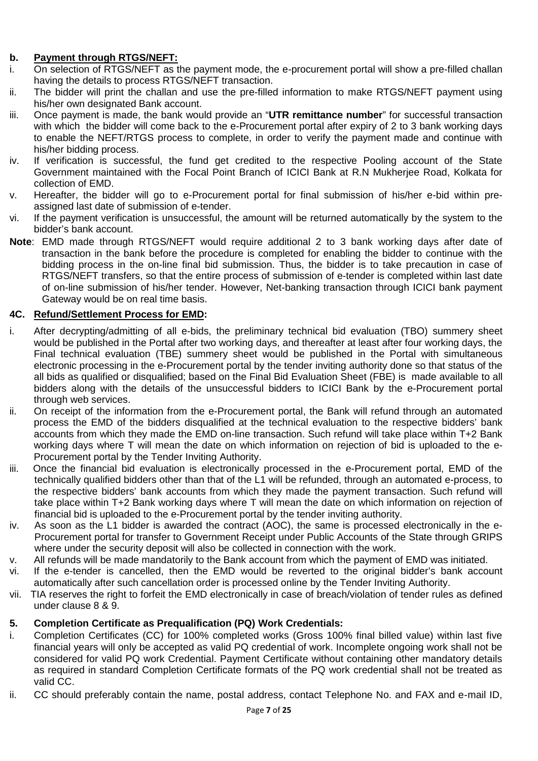# **b. Payment through RTGS/NEFT:**

- i. On selection of RTGS/NEFT as the payment mode, the e-procurement portal will show a pre-filled challan having the details to process RTGS/NEFT transaction.
- ii. The bidder will print the challan and use the pre-filled information to make RTGS/NEFT payment using his/her own designated Bank account.
- iii. Once payment is made, the bank would provide an "**UTR remittance number**" for successful transaction with which the bidder will come back to the e-Procurement portal after expiry of 2 to 3 bank working days to enable the NEFT/RTGS process to complete, in order to verify the payment made and continue with his/her bidding process.
- iv. If verification is successful, the fund get credited to the respective Pooling account of the State Government maintained with the Focal Point Branch of ICICI Bank at R.N Mukherjee Road, Kolkata for collection of EMD.
- v. Hereafter, the bidder will go to e-Procurement portal for final submission of his/her e-bid within pre assigned last date of submission of e-tender.
- vi. If the payment verification is unsuccessful, the amount will be returned automatically by the system to the bidder's bank account.
- **Note**: EMD made through RTGS/NEFT would require additional 2 to 3 bank working days after date of transaction in the bank before the procedure is completed for enabling the bidder to continue with the bidding process in the on-line final bid submission. Thus, the bidder is to take precaution in case of RTGS/NEFT transfers, so that the entire process of submission of e-tender is completed within last date of on-line submission of his/her tender. However, Net-banking transaction through ICICI bank payment Gateway would be on real time basis.

#### **4C. Refund/Settlement Process for EMD:**

- i. After decrypting/admitting of all e-bids, the preliminary technical bid evaluation (TBO) summery sheet would be published in the Portal after two working days, and thereafter at least after four working days, the Final technical evaluation (TBE) summery sheet would be published in the Portal with simultaneous electronic processing in the e-Procurement portal by the tender inviting authority done so that status of the all bids as qualified or disqualified; based on the Final Bid Evaluation Sheet (FBE) is made available to all bidders along with the details of the unsuccessful bidders to ICICI Bank by the e-Procurement portal through web services.
- ii. On receipt of the information from the e-Procurement portal, the Bank will refund through an automated process the EMD of the bidders disqualified at the technical evaluation to the respective bidders' bank accounts from which they made the EMD on-line transaction. Such refund will take place within T+2 Bank working days where T will mean the date on which information on rejection of bid is uploaded to the e- Procurement portal by the Tender Inviting Authority.
- iii. Once the financial bid evaluation is electronically processed in the e-Procurement portal, EMD of the technically qualified bidders other than that of the L1 will be refunded, through an automated e-process, to the respective bidders' bank accounts from which they made the payment transaction. Such refund will take place within T+2 Bank working days where T will mean the date on which information on rejection of financial bid is uploaded to the e-Procurement portal by the tender inviting authority.
- iv. As soon as the L1 bidder is awarded the contract (AOC), the same is processed electronically in the e- Procurement portal for transfer to Government Receipt under Public Accounts of the State through GRIPS where under the security deposit will also be collected in connection with the work.
- v. All refunds will be made mandatorily to the Bank account from which the payment of EMD was initiated.
- vi. If the e-tender is cancelled, then the EMD would be reverted to the original bidder's bank account automatically after such cancellation order is processed online by the Tender Inviting Authority.
- vii. TIA reserves the right to forfeit the EMD electronically in case of breach/violation of tender rules as defined under clause 8 & 9.

#### **5. Completion Certificate as Prequalification (PQ) Work Credentials:**

- i. Completion Certificates (CC) for 100% completed works (Gross 100% final billed value) within last five financial years will only be accepted as valid PQ credential of work. Incomplete ongoing work shall not be considered for valid PQ work Credential. Payment Certificate without containing other mandatory details as required in standard Completion Certificate formats of the PQ work credential shall not be treated as valid CC.
- ii. CC should preferably contain the name, postal address, contact Telephone No. and FAX and e-mail ID,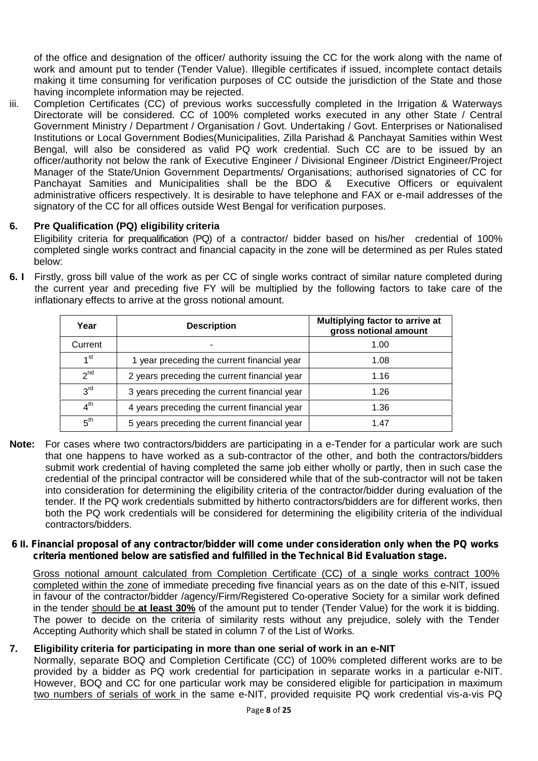of the office and designation of the officer/ authority issuing the CC for the work along with the name of work and amount put to tender (Tender Value). Illegible certificates if issued, incomplete contact details making it time consuming for verification purposes of CC outside the jurisdiction of the State and those having incomplete information may be rejected.

iii. Completion Certificates (CC) of previous works successfully completed in the Irrigation & Waterways Directorate will be considered. CC of 100% completed works executed in any other State / Central Government Ministry / Department / Organisation / Govt. Undertaking / Govt. Enterprises or Nationalised Institutions or Local Government Bodies(Municipalities, Zilla Parishad & Panchayat Samities within West Bengal, will also be considered as valid PQ work credential. Such CC are to be issued by an officer/authority not below the rank of Executive Engineer / Divisional Engineer /District Engineer/Project Manager of the State/Union Government Departments/ Organisations; authorised signatories of CC for Panchayat Samities and Municipalities shall be the BDO & Executive Officers or equivalent administrative officers respectively. It is desirable to have telephone and FAX or e-mail addresses of the signatory of the CC for all offices outside West Bengal for verification purposes.

# **6. Pre Qualification (PQ) eligibility criteria**

Eligibility criteria for prequalification (PQ) of a contractor/ bidder based on his/her credential of 100% completed single works contract and financial capacity in the zone will be determined as per Rules stated below:

**6. I** Firstly, gross bill value of the work as per CC of single works contract of similar nature completed during the current year and preceding five FY will be multiplied by the following factors to take care of the inflationary effects to arrive at the gross notional amount.

| Year            | <b>Description</b>                           | Multiplying factor to arrive at<br>gross notional amount |
|-----------------|----------------------------------------------|----------------------------------------------------------|
| Current         |                                              | 1.00                                                     |
| 1 <sup>st</sup> | 1 year preceding the current financial year  | 1.08                                                     |
| 2 <sup>nd</sup> | 2 years preceding the current financial year | 1.16                                                     |
| 3 <sup>rd</sup> | 3 years preceding the current financial year | 1.26                                                     |
| 4 <sup>th</sup> | 4 years preceding the current financial year | 1.36                                                     |
| 5 <sup>th</sup> | 5 years preceding the current financial year | 1.47                                                     |

**Note:** For cases where two contractors/bidders are participating in a e-Tender for a particular work are such that one happens to have worked as a sub-contractor of the other, and both the contractors/bidders submit work credential of having completed the same job either wholly or partly, then in such case the credential of the principal contractor will be considered while that of the sub-contractor will not be taken into consideration for determining the eligibility criteria of the contractor/bidder during evaluation of the tender. If the PQ work credentials submitted by hitherto contractors/bidders are for different works, then both the PQ work credentials will be considered for determining the eligibility criteria of the individual contractors/bidders.

#### *6* **II***. Financial proposal of any contractor/bidder will come under consideration only when the PQ works criteria mentioned below are satisfied and fulfilled in the Technical Bid Evaluation stage.*

Gross notional amount calculated from Completion Certificate (CC) of a single works contract 100% completed within the zone of immediate preceding five financial years as on the date of this e-NIT, issued in favour of the contractor/bidder /agency/Firm/Registered Co-operative Society for a similar work defined in the tender should be **at least 30%** of the amount put to tender (Tender Value) for the work it is bidding. The power to decide on the criteria of similarity rests without any prejudice, solely with the Tender Accepting Authority which shall be stated in column 7 of the List of Works.

# **7. Eligibility criteria for participating in more than one serial of work in an e-NIT**

Normally, separate BOQ and Completion Certificate (CC) of 100% completed different works are to be provided by a bidder as PQ work credential for participation in separate works in a particular e-NIT. However, BOQ and CC for one particular work may be considered eligible for participation in maximum two numbers of serials of work in the same e-NIT, provided requisite PQ work credential vis-a-vis PQ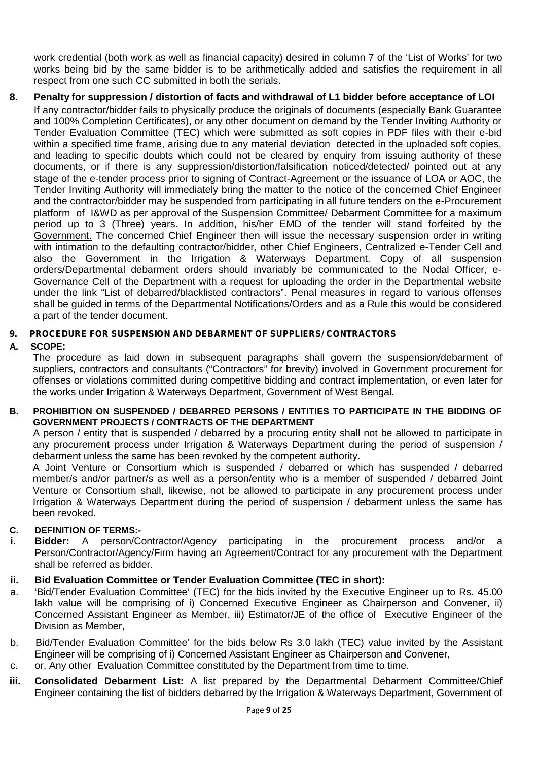work credential (both work as well as financial capacity) desired in column 7 of the 'List of Works' for two works being bid by the same bidder is to be arithmetically added and satisfies the requirement in all respect from one such CC submitted in both the serials.

**8. Penalty for suppression / distortion of facts and withdrawal of L1 bidder before acceptance of LOI** If any contractor/bidder fails to physically produce the originals of documents (especially Bank Guarantee and 100% Completion Certificates), or any other document on demand by the Tender Inviting Authority or Tender Evaluation Committee (TEC) which were submitted as soft copies in PDF files with their e-bid within a specified time frame, arising due to any material deviation detected in the uploaded soft copies, and leading to specific doubts which could not be cleared by enquiry from issuing authority of these documents, or if there is any suppression/distortion/falsification noticed/detected/ pointed out at any stage of the e-tender process prior to signing of Contract-Agreement or the issuance of LOA or AOC, the Tender Inviting Authority will immediately bring the matter to the notice of the concerned Chief Engineer and the contractor/bidder may be suspended from participating in all future tenders on the e-Procurement platform of I&WD as per approval of the Suspension Committee/ Debarment Committee for a maximum period up to 3 (Three) years. In addition, his/her EMD of the tender will stand forfeited by the Government. The concerned Chief Engineer then will issue the necessary suspension order in writing with intimation to the defaulting contractor/bidder, other Chief Engineers, Centralized e-Tender Cell and also the Government in the Irrigation & Waterways Department. Copy of all suspension orders/Departmental debarment orders should invariably be communicated to the Nodal Officer, e- Governance Cell of the Department with a request for uploading the order in the Departmental website under the link "List of debarred/blacklisted contractors". Penal measures in regard to various offenses shall be guided in terms of the Departmental Notifications/Orders and as a Rule this would be considered a part of the tender document.

## *9. PROCEDURE FOR SUSPENSION AND DEBARMENT OF SUPPLIERS/ CONTRACTORS*

#### **A. SCOPE:**

The procedure as laid down in subsequent paragraphs shall govern the suspension/debarment of suppliers, contractors and consultants ("Contractors" for brevity) involved in Government procurement for offenses or violations committed during competitive bidding and contract implementation, or even later for the works under Irrigation & Waterways Department, Government of West Bengal.

#### **B. PROHIBITION ON SUSPENDED / DEBARRED PERSONS / ENTITIES TO PARTICIPATE IN THE BIDDING OF GOVERNMENT PROJECTS / CONTRACTS OF THE DEPARTMENT**

A person / entity that is suspended / debarred by a procuring entity shall not be allowed to participate in any procurement process under Irrigation & Waterways Department during the period of suspension / debarment unless the same has been revoked by the competent authority.

A Joint Venture or Consortium which is suspended / debarred or which has suspended / debarred member/s and/or partner/s as well as a person/entity who is a member of suspended / debarred Joint Venture or Consortium shall, likewise, not be allowed to participate in any procurement process under Irrigation & Waterways Department during the period of suspension / debarment unless the same has been revoked.

#### **C. DEFINITION OF TERMS:-**

- **i. Bidder:** A person/Contractor/Agency participating in the procurement process and/or a Person/Contractor/Agency/Firm having an Agreement/Contract for any procurement with the Department shall be referred as bidder.
- **ii. Bid Evaluation Committee or Tender Evaluation Committee (TEC in short):**
- a. 'Bid/Tender Evaluation Committee' (TEC) for the bids invited by the Executive Engineer up to Rs. 45.00 lakh value will be comprising of i) Concerned Executive Engineer as Chairperson and Convener, ii) Concerned Assistant Engineer as Member, iii) Estimator/JE of the office of Executive Engineer of the Division as Member,
- b. Bid/Tender Evaluation Committee' for the bids below Rs 3.0 lakh (TEC) value invited by the Assistant Engineer will be comprising of i) Concerned Assistant Engineer as Chairperson and Convener,
- c. or, Any other Evaluation Committee constituted by the Department from time to time.
- **iii. Consolidated Debarment List:** A list prepared by the Departmental Debarment Committee/Chief Engineer containing the list of bidders debarred by the Irrigation & Waterways Department, Government of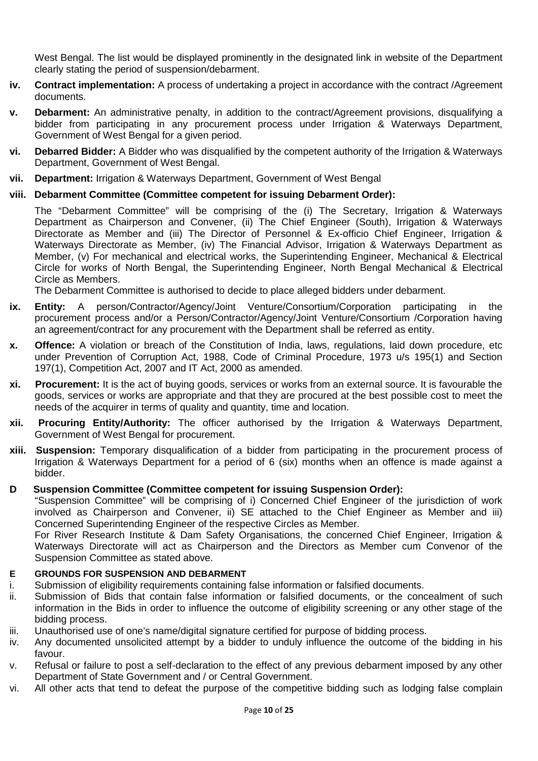West Bengal. The list would be displayed prominently in the designated link in website of the Department clearly stating the period of suspension/debarment.

- **iv. Contract implementation:** A process of undertaking a project in accordance with the contract /Agreement documents.
- **v. Debarment:** An administrative penalty, in addition to the contract/Agreement provisions, disqualifying a bidder from participating in any procurement process under Irrigation & Waterways Department, Government of West Bengal for a given period.
- **vi. Debarred Bidder:** A Bidder who was disqualified by the competent authority of the Irrigation & Waterways Department, Government of West Bengal.
- **vii. Department:** Irrigation & Waterways Department, Government of West Bengal

# **viii. Debarment Committee (Committee competent for issuing Debarment Order):**

The "Debarment Committee" will be comprising of the (i) The Secretary, Irrigation & Waterways Department as Chairperson and Convener, (ii) The Chief Engineer (South), Irrigation & Waterways Directorate as Member and (iii) The Director of Personnel & Ex-officio Chief Engineer, Irrigation & Waterways Directorate as Member, (iv) The Financial Advisor, Irrigation & Waterways Department as Member, (v) For mechanical and electrical works, the Superintending Engineer, Mechanical & Electrical Circle for works of North Bengal, the Superintending Engineer, North Bengal Mechanical & Electrical Circle as Members.

The Debarment Committee is authorised to decide to place alleged bidders under debarment.

- **ix. Entity:** A person/Contractor/Agency/Joint Venture/Consortium/Corporation participating in the procurement process and/or a Person/Contractor/Agency/Joint Venture/Consortium /Corporation having an agreement/contract for any procurement with the Department shall be referred as entity.
- **x. Offence:** A violation or breach of the Constitution of India, laws, regulations, laid down procedure, etc under Prevention of Corruption Act, 1988, Code of Criminal Procedure, 1973 u/s 195(1) and Section 197(1), Competition Act, 2007 and IT Act, 2000 as amended.
- **xi. Procurement:** It is the act of buying goods, services or works from an external source. It is favourable the goods, services or works are appropriate and that they are procured at the best possible cost to meet the needs of the acquirer in terms of quality and quantity, time and location.
- **xii. Procuring Entity/Authority:** The officer authorised by the Irrigation & Waterways Department, Government of West Bengal for procurement.
- **xiii. Suspension:** Temporary disqualification of a bidder from participating in the procurement process of Irrigation & Waterways Department for a period of 6 (six) months when an offence is made against a bidder.

#### **D Suspension Committee (Committee competent for issuing Suspension Order):**

"Suspension Committee" will be comprising of i) Concerned Chief Engineer of the jurisdiction of work involved as Chairperson and Convener, ii) SE attached to the Chief Engineer as Member and iii) Concerned Superintending Engineer of the respective Circles as Member.

For River Research Institute & Dam Safety Organisations, the concerned Chief Engineer, Irrigation & Waterways Directorate will act as Chairperson and the Directors as Member cum Convenor of the Suspension Committee as stated above.

#### **E GROUNDS FOR SUSPENSION AND DEBARMENT**

- i. Submission of eligibility requirements containing false information or falsified documents.
- ii. Submission of Bids that contain false information or falsified documents, or the concealment of such information in the Bids in order to influence the outcome of eligibility screening or any other stage of the bidding process.
- iii. Unauthorised use of one's name/digital signature certified for purpose of bidding process.
- iv. Any documented unsolicited attempt by a bidder to unduly influence the outcome of the bidding in his favour.
- v. Refusal or failure to post a self-declaration to the effect of any previous debarment imposed by any other Department of State Government and / or Central Government.
- vi. All other acts that tend to defeat the purpose of the competitive bidding such as lodging false complain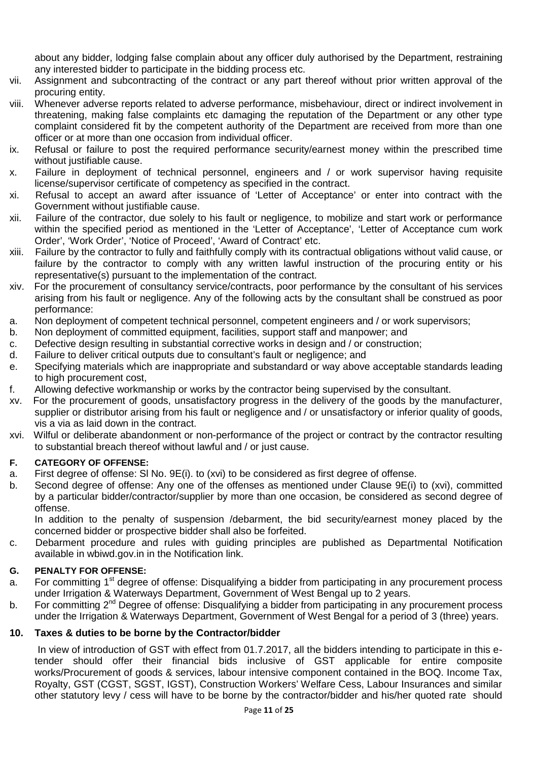about any bidder, lodging false complain about any officer duly authorised by the Department, restraining any interested bidder to participate in the bidding process etc.

- vii. Assignment and subcontracting of the contract or any part thereof without prior written approval of the procuring entity.
- viii. Whenever adverse reports related to adverse performance, misbehaviour, direct or indirect involvement in threatening, making false complaints etc damaging the reputation of the Department or any other type complaint considered fit by the competent authority of the Department are received from more than one officer or at more than one occasion from individual officer.
- ix. Refusal or failure to post the required performance security/earnest money within the prescribed time without justifiable cause.
- x. Failure in deployment of technical personnel, engineers and / or work supervisor having requisite license/supervisor certificate of competency as specified in the contract.
- xi. Refusal to accept an award after issuance of 'Letter of Acceptance' or enter into contract with the Government without justifiable cause.
- xii. Failure of the contractor, due solely to his fault or negligence, to mobilize and start work or performance within the specified period as mentioned in the 'Letter of Acceptance', 'Letter of Acceptance cum work Order', 'Work Order', 'Notice of Proceed', 'Award of Contract' etc.
- xiii. Failure by the contractor to fully and faithfully comply with its contractual obligations without valid cause, or failure by the contractor to comply with any written lawful instruction of the procuring entity or his representative(s) pursuant to the implementation of the contract.
- xiv. For the procurement of consultancy service/contracts, poor performance by the consultant of his services arising from his fault or negligence. Any of the following acts by the consultant shall be construed as poor performance:
- a. Non deployment of competent technical personnel, competent engineers and / or work supervisors;
- b. Non deployment of committed equipment, facilities, support staff and manpower; and
- c. Defective design resulting in substantial corrective works in design and / or construction;
- d. Failure to deliver critical outputs due to consultant's fault or negligence; and
- e. Specifying materials which are inappropriate and substandard or way above acceptable standards leading to high procurement cost,
- f. Allowing defective workmanship or works by the contractor being supervised by the consultant.
- xv. For the procurement of goods, unsatisfactory progress in the delivery of the goods by the manufacturer, supplier or distributor arising from his fault or negligence and / or unsatisfactory or inferior quality of goods, vis a via as laid down in the contract.
- xvi. Wilful or deliberate abandonment or non-performance of the project or contract by the contractor resulting to substantial breach thereof without lawful and / or just cause.

# **F. CATEGORY OF OFFENSE:**

- a. First degree of offense: Sl No. 9E(i). to (xvi) to be considered as first degree of offense.
- b. Second degree of offense: Any one of the offenses as mentioned under Clause 9E(i) to (xvi), committed by a particular bidder/contractor/supplier by more than one occasion, be considered as second degree of offense.

In addition to the penalty of suspension /debarment, the bid security/earnest money placed by the concerned bidder or prospective bidder shall also be forfeited.

c. Debarment procedure and rules with guiding principles are published as Departmental Notification available in wbiwd.gov.in in the Notification link.

#### **G. PENALTY FOR OFFENSE:**

- a. For committing 1<sup>st</sup> degree of offense: Disqualifying a bidder from participating in any procurement process under Irrigation & Waterways Department, Government of West Bengal up to 2 years.
- b. For committing  $2^{nd}$  Degree of offense: Disqualifying a bidder from participating in any procurement process under the Irrigation & Waterways Department, Government of West Bengal for a period of 3 (three) years.

#### **10. Taxes & duties to be borne by the Contractor/bidder**

In view of introduction of GST with effect from 01.7.2017, all the bidders intending to participate in this etender should offer their financial bids inclusive of GST applicable for entire composite works/Procurement of goods & services, labour intensive component contained in the BOQ. Income Tax, Royalty, GST (CGST, SGST, IGST), Construction Workers' Welfare Cess, Labour Insurances and similar other statutory levy / cess will have to be borne by the contractor/bidder and his/her quoted rate should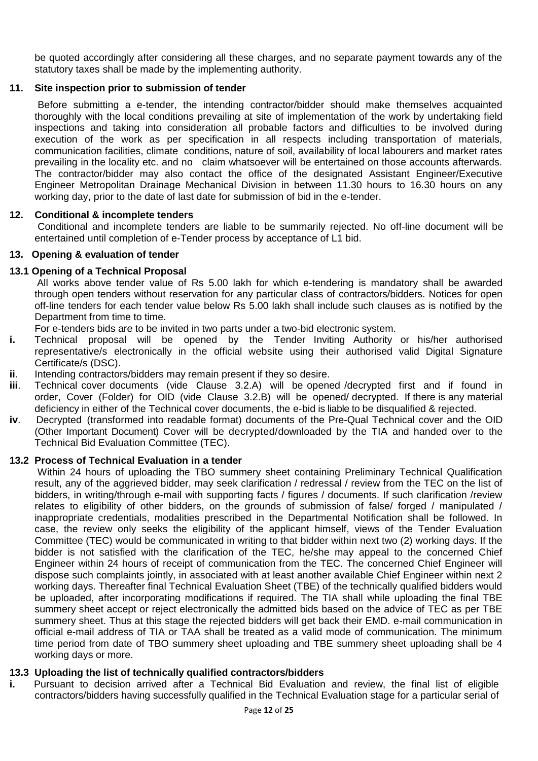be quoted accordingly after considering all these charges, and no separate payment towards any of the statutory taxes shall be made by the implementing authority.

## **11. Site inspection prior to submission of tender**

Before submitting a e-tender, the intending contractor/bidder should make themselves acquainted thoroughly with the local conditions prevailing at site of implementation of the work by undertaking field inspections and taking into consideration all probable factors and difficulties to be involved during execution of the work as per specification in all respects including transportation of materials, communication facilities, climate conditions, nature of soil, availability of local labourers and market rates prevailing in the locality etc. and no claim whatsoever will be entertained on those accounts afterwards. The contractor/bidder may also contact the office of the designated Assistant Engineer/Executive Engineer Metropolitan Drainage Mechanical Division in between 11.30 hours to 16.30 hours on any working day, prior to the date of last date for submission of bid in the e-tender.

#### **12. Conditional & incomplete tenders**

Conditional and incomplete tenders are liable to be summarily rejected. No off-line document will be entertained until completion of e-Tender process by acceptance of L1 bid.

#### **13. Opening & evaluation of tender**

#### **13.1 Opening of a Technical Proposal**

All works above tender value of Rs 5.00 lakh for which e-tendering is mandatory shall be awarded through open tenders without reservation for any particular class of contractors/bidders. Notices for open off-line tenders for each tender value below Rs 5.00 lakh shall include such clauses as is notified by the Department from time to time.

For e-tenders bids are to be invited in two parts under a two-bid electronic system.

- **i.** Technical proposal will be opened by the Tender Inviting Authority or his/her authorised representative/s electronically in the official website using their authorised valid Digital Signature Certificate/s (DSC).
- **ii**. Intending contractors/bidders may remain present if they so desire.
- **iii**. Technical cover documents (vide Clause 3.2.A) will be opened /decrypted first and if found in order, Cover (Folder) for OID (vide Clause 3.2.B) will be opened/ decrypted. If there is any material deficiency in either of the Technical cover documents, the e-bid is liable to be disqualified & rejected.
- **iv**. Decrypted (transformed into readable format) documents of the Pre-Qual Technical cover and the OID (Other Important Document) Cover will be decrypted/downloaded by the TIA and handed over to the Technical Bid Evaluation Committee (TEC).

#### **13.2 Process of Technical Evaluation in a tender**

Within 24 hours of uploading the TBO summery sheet containing Preliminary Technical Qualification result, any of the aggrieved bidder, may seek clarification / redressal / review from the TEC on the list of bidders, in writing/through e-mail with supporting facts / figures / documents. If such clarification /review relates to eligibility of other bidders, on the grounds of submission of false/ forged / manipulated / inappropriate credentials, modalities prescribed in the Departmental Notification shall be followed. In case, the review only seeks the eligibility of the applicant himself, views of the Tender Evaluation Committee (TEC) would be communicated in writing to that bidder within next two (2) working days. If the bidder is not satisfied with the clarification of the TEC, he/she may appeal to the concerned Chief Engineer within 24 hours of receipt of communication from the TEC. The concerned Chief Engineer will dispose such complaints jointly, in associated with at least another available Chief Engineer within next 2 working days. Thereafter final Technical Evaluation Sheet (TBE) of the technically qualified bidders would be uploaded, after incorporating modifications if required. The TIA shall while uploading the final TBE summery sheet accept or reject electronically the admitted bids based on the advice of TEC as per TBE summery sheet. Thus at this stage the rejected bidders will get back their EMD. e-mail communication in official e-mail address of TIA or TAA shall be treated as a valid mode of communication. The minimum time period from date of TBO summery sheet uploading and TBE summery sheet uploading shall be 4 working days or more.

#### **13.3 Uploading the list of technically qualified contractors/bidders**

**i.** Pursuant to decision arrived after a Technical Bid Evaluation and review, the final list of eligible contractors/bidders having successfully qualified in the Technical Evaluation stage for a particular serial of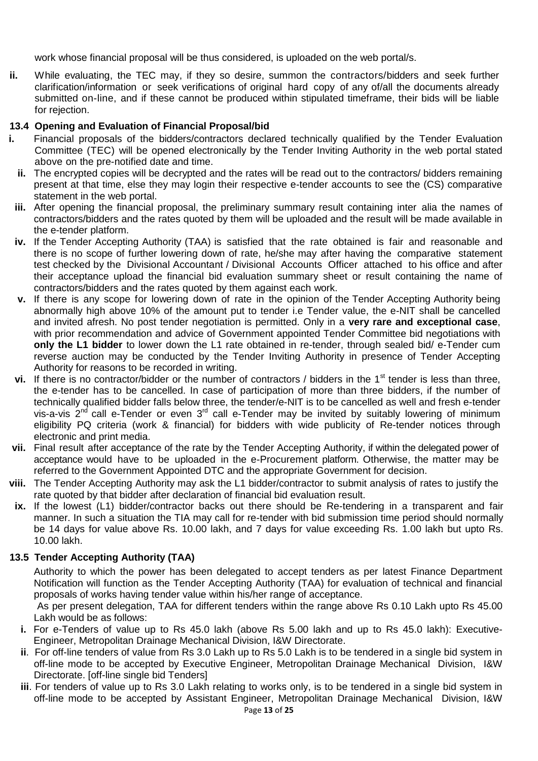work whose financial proposal will be thus considered, is uploaded on the web portal/s.

**ii.** While evaluating, the TEC may, if they so desire, summon the contractors/bidders and seek further clarification/information or seek verifications of original hard copy of any of/all the documents already submitted on-line, and if these cannot be produced within stipulated timeframe, their bids will be liable for rejection.

# **13.4 Opening and Evaluation of Financial Proposal/bid**

- **i.** Financial proposals of the bidders/contractors declared technically qualified by the Tender Evaluation Committee (TEC) will be opened electronically by the Tender Inviting Authority in the web portal stated above on the pre-notified date and time.
- **ii.** The encrypted copies will be decrypted and the rates will be read out to the contractors/ bidders remaining present at that time, else they may login their respective e-tender accounts to see the (CS) comparative statement in the web portal.
- **iii.** After opening the financial proposal, the preliminary summary result containing inter alia the names of contractors/bidders and the rates quoted by them will be uploaded and the result will be made available in the e-tender platform.
- **iv.** If the Tender Accepting Authority (TAA) is satisfied that the rate obtained is fair and reasonable and there is no scope of further lowering down of rate, he/she may after having the comparative statement test checked by the Divisional Accountant / Divisional Accounts Officer attached to his office and after their acceptance upload the financial bid evaluation summary sheet or result containing the name of contractors/bidders and the rates quoted by them against each work.
- **v.** If there is any scope for lowering down of rate in the opinion of the Tender Accepting Authority being abnormally high above 10% of the amount put to tender i.e Tender value, the e-NIT shall be cancelled and invited afresh. No post tender negotiation is permitted. Only in a **very rare and exceptional case**, with prior recommendation and advice of Government appointed Tender Committee bid negotiations with **only the L1 bidder** to lower down the L1 rate obtained in re-tender, through sealed bid/ e-Tender cum reverse auction may be conducted by the Tender Inviting Authority in presence of Tender Accepting Authority for reasons to be recorded in writing.
- **vi.** If there is no contractor/bidder or the number of contractors / bidders in the 1<sup>st</sup> tender is less than three, the e-tender has to be cancelled. In case of participation of more than three bidders, if the number of technically qualified bidder falls below three, the tender/e-NIT is to be cancelled as well and fresh e-tender vis-a-vis  $2<sup>nd</sup>$  call e-Tender or even  $3<sup>rd</sup>$  call e-Tender may be invited by suitably lowering of minimum eligibility PQ criteria (work & financial) for bidders with wide publicity of Re-tender notices through electronic and print media.
- **vii.** Final result after acceptance of the rate by the Tender Accepting Authority, if within the delegated power of acceptance would have to be uploaded in the e-Procurement platform. Otherwise, the matter may be referred to the Government Appointed DTC and the appropriate Government for decision.
- **viii.** The Tender Accepting Authority may ask the L1 bidder/contractor to submit analysis of rates to justify the rate quoted by that bidder after declaration of financial bid evaluation result.
- **ix.** If the lowest (L1) bidder/contractor backs out there should be Re-tendering in a transparent and fair manner. In such a situation the TIA may call for re-tender with bid submission time period should normally be 14 days for value above Rs. 10.00 lakh, and 7 days for value exceeding Rs. 1.00 lakh but upto Rs. 10.00 lakh.

# **13.5 Tender Accepting Authority (TAA)**

Authority to which the power has been delegated to accept tenders as per latest Finance Department Notification will function as the Tender Accepting Authority (TAA) for evaluation of technical and financial proposals of works having tender value within his/her range of acceptance.

As per present delegation, TAA for different tenders within the range above Rs 0.10 Lakh upto Rs 45.00 Lakh would be as follows:

- **i.** For e-Tenders of value up to Rs 45.0 lakh (above Rs 5.00 lakh and up to Rs 45.0 lakh): Executive- Engineer, Metropolitan Drainage Mechanical Division, I&W Directorate.
- **ii**. For off-line tenders of value from Rs 3.0 Lakh up to Rs 5.0 Lakh is to be tendered in a single bid system in off-line mode to be accepted by Executive Engineer, Metropolitan Drainage Mechanical Division, I&W Directorate. [off-line single bid Tenders]
- **iii**. For tenders of value up to Rs 3.0 Lakh relating to works only, is to be tendered in a single bid system in off-line mode to be accepted by Assistant Engineer, Metropolitan Drainage Mechanical Division, I&W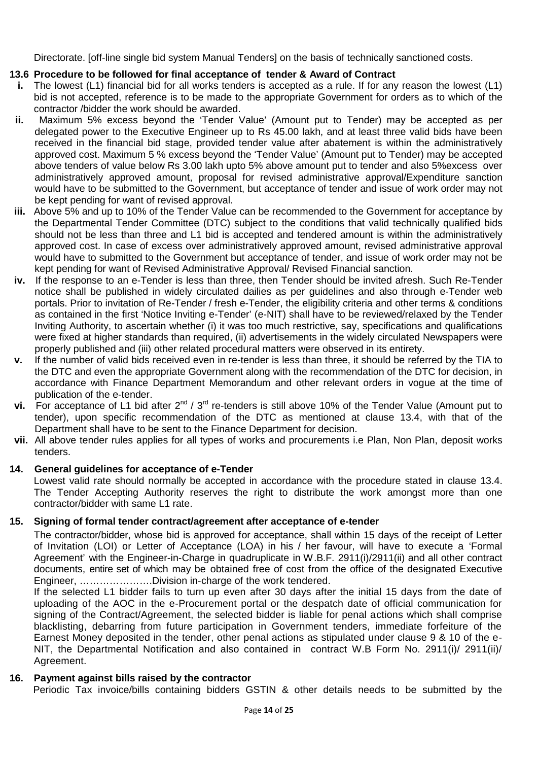Directorate. [off-line single bid system Manual Tenders] on the basis of technically sanctioned costs.

# **13.6 Procedure to be followed for final acceptance of tender & Award of Contract**

- **i.** The lowest (L1) financial bid for all works tenders is accepted as a rule. If for any reason the lowest (L1) bid is not accepted, reference is to be made to the appropriate Government for orders as to which of the contractor /bidder the work should be awarded.
- **ii.** Maximum 5% excess beyond the 'Tender Value' (Amount put to Tender) may be accepted as per delegated power to the Executive Engineer up to Rs 45.00 lakh, and at least three valid bids have been received in the financial bid stage, provided tender value after abatement is within the administratively approved cost. Maximum 5 % excess beyond the 'Tender Value' (Amount put to Tender) may be accepted above tenders of value below Rs 3.00 lakh upto 5% above amount put to tender and also 5%excess over administratively approved amount, proposal for revised administrative approval/Expenditure sanction would have to be submitted to the Government, but acceptance of tender and issue of work order may not be kept pending for want of revised approval.
- **iii.** Above 5% and up to 10% of the Tender Value can be recommended to the Government for acceptance by the Departmental Tender Committee (DTC) subject to the conditions that valid technically qualified bids should not be less than three and L1 bid is accepted and tendered amount is within the administratively approved cost. In case of excess over administratively approved amount, revised administrative approval would have to submitted to the Government but acceptance of tender, and issue of work order may not be kept pending for want of Revised Administrative Approval/ Revised Financial sanction.
- **iv.** If the response to an e-Tender is less than three, then Tender should be invited afresh. Such Re-Tender notice shall be published in widely circulated dailies as per guidelines and also through e-Tender web portals. Prior to invitation of Re-Tender / fresh e-Tender, the eligibility criteria and other terms & conditions as contained in the first 'Notice Inviting e-Tender' (e-NIT) shall have to be reviewed/relaxed by the Tender Inviting Authority, to ascertain whether (i) it was too much restrictive, say, specifications and qualifications were fixed at higher standards than required, (ii) advertisements in the widely circulated Newspapers were properly published and (iii) other related procedural matters were observed in its entirety.
- **v.** If the number of valid bids received even in re-tender is less than three, it should be referred by the TIA to the DTC and even the appropriate Government along with the recommendation of the DTC for decision, in accordance with Finance Department Memorandum and other relevant orders in vogue at the time of publication of the e-tender.
- **vi.** For acceptance of L1 bid after 2<sup>nd</sup> / 3<sup>rd</sup> re-tenders is still above 10% of the Tender Value (Amount put to tender), upon specific recommendation of the DTC as mentioned at clause 13.4, with that of the Department shall have to be sent to the Finance Department for decision.
- **vii.** All above tender rules applies for all types of works and procurements i.e Plan, Non Plan, deposit works tenders.

# **14. General guidelines for acceptance of e-Tender**

Lowest valid rate should normally be accepted in accordance with the procedure stated in clause 13.4. The Tender Accepting Authority reserves the right to distribute the work amongst more than one contractor/bidder with same L1 rate.

# **15. Signing of formal tender contract/agreement after acceptance of e-tender**

The contractor/bidder, whose bid is approved for acceptance, shall within 15 days of the receipt of Letter of Invitation (LOI) or Letter of Acceptance (LOA) in his / her favour, will have to execute a 'Formal Agreement' with the Engineer-in-Charge in quadruplicate in W.B.F. 2911(i)/2911(ii) and all other contract documents, entire set of which may be obtained free of cost from the office of the designated Executive Engineer, ………………….Division in-charge of the work tendered.

If the selected L1 bidder fails to turn up even after 30 days after the initial 15 days from the date of uploading of the AOC in the e-Procurement portal or the despatch date of official communication for signing of the Contract/Agreement, the selected bidder is liable for penal actions which shall comprise blacklisting, debarring from future participation in Government tenders, immediate forfeiture of the Earnest Money deposited in the tender, other penal actions as stipulated under clause 9 & 10 of the e- NIT, the Departmental Notification and also contained in contract W.B Form No. 2911(i)/ 2911(ii)/ Agreement.

# **16. Payment against bills raised by the contractor**

Periodic Tax invoice/bills containing bidders GSTIN & other details needs to be submitted by the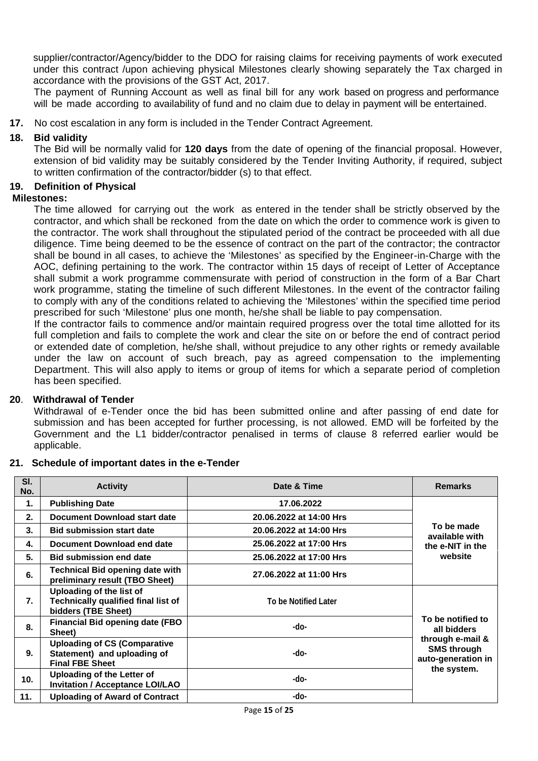supplier/contractor/Agency/bidder to the DDO for raising claims for receiving payments of work executed under this contract /upon achieving physical Milestones clearly showing separately the Tax charged in accordance with the provisions of the GST Act, 2017.

The payment of Running Account as well as final bill for any work based on progress and performance will be made according to availability of fund and no claim due to delay in payment will be entertained.

**17.** No cost escalation in any form is included in the Tender Contract Agreement.

## **18. Bid validity**

The Bid will be normally valid for **120 days** from the date of opening of the financial proposal. However, extension of bid validity may be suitably considered by the Tender Inviting Authority, if required, subject to written confirmation of the contractor/bidder (s) to that effect.

### **19. Definition of Physical**

#### **Milestones:**

The time allowed for carrying out the work as entered in the tender shall be strictly observed by the contractor, and which shall be reckoned from the date on which the order to commence work is given to the contractor. The work shall throughout the stipulated period of the contract be proceeded with all due diligence. Time being deemed to be the essence of contract on the part of the contractor; the contractor shall be bound in all cases, to achieve the 'Milestones' as specified by the Engineer-in-Charge with the AOC, defining pertaining to the work. The contractor within 15 days of receipt of Letter of Acceptance shall submit a work programme commensurate with period of construction in the form of a Bar Chart work programme, stating the timeline of such different Milestones. In the event of the contractor failing to comply with any of the conditions related to achieving the 'Milestones' within the specified time period prescribed for such 'Milestone' plus one month, he/she shall be liable to pay compensation.

If the contractor fails to commence and/or maintain required progress over the total time allotted for its full completion and fails to complete the work and clear the site on or before the end of contract period or extended date of completion, he/she shall, without prejudice to any other rights or remedy available under the law on account of such breach, pay as agreed compensation to the implementing Department. This will also apply to items or group of items for which a separate period of completion has been specified.

#### **20**. **Withdrawal of Tender**

Withdrawal of e-Tender once the bid has been submitted online and after passing of end date for submission and has been accepted for further processing, is not allowed. EMD will be forfeited by the Government and the L1 bidder/contractor penalised in terms of clause 8 referred earlier would be applicable.

#### **21. Schedule of important dates in the e-Tender**

| SI.<br>No. | <b>Activity</b>                                                                              | Date & Time             | <b>Remarks</b>                                               |  |
|------------|----------------------------------------------------------------------------------------------|-------------------------|--------------------------------------------------------------|--|
| 1.         | <b>Publishing Date</b>                                                                       | 17.06.2022              |                                                              |  |
| 2.         | <b>Document Download start date</b>                                                          | 20.06.2022 at 14:00 Hrs |                                                              |  |
| 3.         | <b>Bid submission start date</b>                                                             | 20.06.2022 at 14:00 Hrs | To be made<br>available with                                 |  |
| 4.         | Document Download end date                                                                   | 25.06.2022 at 17:00 Hrs | the e-NIT in the                                             |  |
| 5.         | <b>Bid submission end date</b>                                                               | 25.06.2022 at 17:00 Hrs | website                                                      |  |
| 6.         | <b>Technical Bid opening date with</b><br>preliminary result (TBO Sheet)                     | 27.06.2022 at 11:00 Hrs |                                                              |  |
| 7.         | Uploading of the list of<br>Technically qualified final list of<br>bidders (TBE Sheet)       | To be Notified Later    |                                                              |  |
| 8.         | <b>Financial Bid opening date (FBO</b><br>Sheet)                                             | -do-                    | To be notified to<br>all bidders                             |  |
| 9.         | <b>Uploading of CS (Comparative</b><br>Statement) and uploading of<br><b>Final FBE Sheet</b> | -do-                    | through e-mail &<br><b>SMS through</b><br>auto-generation in |  |
| 10.        | Uploading of the Letter of<br><b>Invitation / Acceptance LOI/LAO</b>                         | -do-                    | the system.                                                  |  |
| 11.        | <b>Uploading of Award of Contract</b>                                                        | -do-                    |                                                              |  |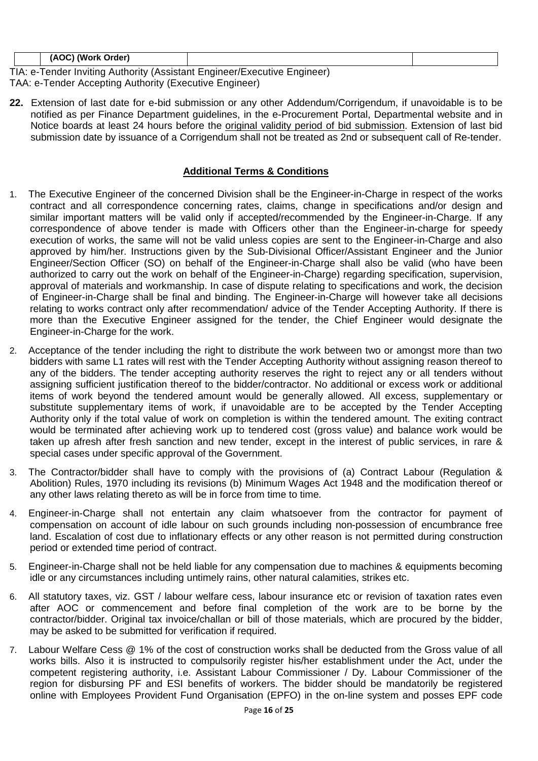| (AOC)<br>( Work Order) (؍                         |  |  |  |  |  |
|---------------------------------------------------|--|--|--|--|--|
| ▔▀▁▕▏▏▏ <i>░▏▕▖▕▎▕▖▕▎</i> ▏▘▖▕▞▁▕▕▀▁▏▏▕▏▛▁▏▏▏▛▏▏▏ |  |  |  |  |  |

TIA: e-Tender Inviting Authority (Assistant Engineer/Executive Engineer) TAA: e-Tender Accepting Authority (Executive Engineer)

**22.** Extension of last date for e-bid submission or any other Addendum/Corrigendum, if unavoidable is to be notified as per Finance Department guidelines, in the e-Procurement Portal, Departmental website and in Notice boards at least 24 hours before the original validity period of bid submission. Extension of last bid submission date by issuance of a Corrigendum shall not be treated as 2nd or subsequent call of Re-tender.

# **Additional Terms & Conditions**

- 1. The Executive Engineer of the concerned Division shall be the Engineer-in-Charge in respect of the works contract and all correspondence concerning rates, claims, change in specifications and/or design and similar important matters will be valid only if accepted/recommended by the Engineer-in-Charge. If any correspondence of above tender is made with Officers other than the Engineer-in-charge for speedy execution of works, the same will not be valid unless copies are sent to the Engineer-in-Charge and also approved by him/her. Instructions given by the Sub-Divisional Officer/Assistant Engineer and the Junior Engineer/Section Officer (SO) on behalf of the Engineer-in-Charge shall also be valid (who have been authorized to carry out the work on behalf of the Engineer-in-Charge) regarding specification, supervision, approval of materials and workmanship. In case of dispute relating to specifications and work, the decision of Engineer-in-Charge shall be final and binding. The Engineer-in-Charge will however take all decisions relating to works contract only after recommendation/ advice of the Tender Accepting Authority. If there is more than the Executive Engineer assigned for the tender, the Chief Engineer would designate the Engineer-in-Charge for the work.
- 2. Acceptance of the tender including the right to distribute the work between two or amongst more than two bidders with same L1 rates will rest with the Tender Accepting Authority without assigning reason thereof to any of the bidders. The tender accepting authority reserves the right to reject any or all tenders without assigning sufficient justification thereof to the bidder/contractor. No additional or excess work or additional items of work beyond the tendered amount would be generally allowed. All excess, supplementary or substitute supplementary items of work, if unavoidable are to be accepted by the Tender Accepting Authority only if the total value of work on completion is within the tendered amount. The exiting contract would be terminated after achieving work up to tendered cost (gross value) and balance work would be taken up afresh after fresh sanction and new tender, except in the interest of public services, in rare & special cases under specific approval of the Government.
- 3. The Contractor/bidder shall have to comply with the provisions of (a) Contract Labour (Regulation & Abolition) Rules, 1970 including its revisions (b) Minimum Wages Act 1948 and the modification thereof or any other laws relating thereto as will be in force from time to time.
- 4. Engineer-in-Charge shall not entertain any claim whatsoever from the contractor for payment of compensation on account of idle labour on such grounds including non-possession of encumbrance free land. Escalation of cost due to inflationary effects or any other reason is not permitted during construction period or extended time period of contract.
- 5. Engineer-in-Charge shall not be held liable for any compensation due to machines & equipments becoming idle or any circumstances including untimely rains, other natural calamities, strikes etc.
- 6. All statutory taxes, viz. GST / labour welfare cess, labour insurance etc or revision of taxation rates even after AOC or commencement and before final completion of the work are to be borne by the contractor/bidder. Original tax invoice/challan or bill of those materials, which are procured by the bidder, may be asked to be submitted for verification if required.
- 7. Labour Welfare Cess @ 1% of the cost of construction works shall be deducted from the Gross value of all works bills. Also it is instructed to compulsorily register his/her establishment under the Act, under the competent registering authority, i.e. Assistant Labour Commissioner / Dy. Labour Commissioner of the region for disbursing PF and ESI benefits of workers. The bidder should be mandatorily be registered online with Employees Provident Fund Organisation (EPFO) in the on-line system and posses EPF code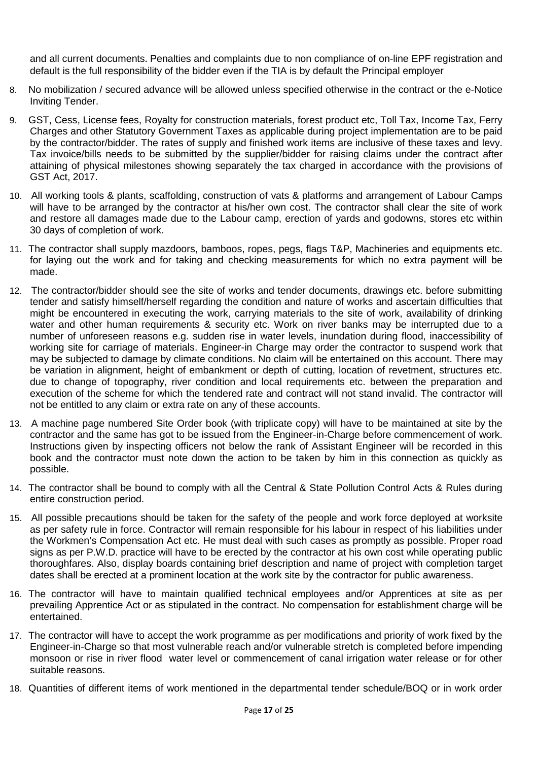and all current documents. Penalties and complaints due to non compliance of on-line EPF registration and default is the full responsibility of the bidder even if the TIA is by default the Principal employer

- 8. No mobilization / secured advance will be allowed unless specified otherwise in the contract or the e-Notice Inviting Tender.
- 9. GST, Cess, License fees, Royalty for construction materials, forest product etc, Toll Tax, Income Tax, Ferry Charges and other Statutory Government Taxes as applicable during project implementation are to be paid by the contractor/bidder. The rates of supply and finished work items are inclusive of these taxes and levy. Tax invoice/bills needs to be submitted by the supplier/bidder for raising claims under the contract after attaining of physical milestones showing separately the tax charged in accordance with the provisions of GST Act, 2017.
- 10. All working tools & plants, scaffolding, construction of vats & platforms and arrangement of Labour Camps will have to be arranged by the contractor at his/her own cost. The contractor shall clear the site of work and restore all damages made due to the Labour camp, erection of yards and godowns, stores etc within 30 days of completion of work.
- 11. The contractor shall supply mazdoors, bamboos, ropes, pegs, flags T&P, Machineries and equipments etc. for laying out the work and for taking and checking measurements for which no extra payment will be made.
- 12. The contractor/bidder should see the site of works and tender documents, drawings etc. before submitting tender and satisfy himself/herself regarding the condition and nature of works and ascertain difficulties that might be encountered in executing the work, carrying materials to the site of work, availability of drinking water and other human requirements & security etc. Work on river banks may be interrupted due to a number of unforeseen reasons e.g. sudden rise in water levels, inundation during flood, inaccessibility of working site for carriage of materials. Engineer-in Charge may order the contractor to suspend work that may be subjected to damage by climate conditions. No claim will be entertained on this account. There may be variation in alignment, height of embankment or depth of cutting, location of revetment, structures etc. due to change of topography, river condition and local requirements etc. between the preparation and execution of the scheme for which the tendered rate and contract will not stand invalid. The contractor will not be entitled to any claim or extra rate on any of these accounts.
- 13. A machine page numbered Site Order book (with triplicate copy) will have to be maintained at site by the contractor and the same has got to be issued from the Engineer-in-Charge before commencement of work. Instructions given by inspecting officers not below the rank of Assistant Engineer will be recorded in this book and the contractor must note down the action to be taken by him in this connection as quickly as possible.
- 14. The contractor shall be bound to comply with all the Central & State Pollution Control Acts & Rules during entire construction period.
- 15. All possible precautions should be taken for the safety of the people and work force deployed at worksite as per safety rule in force. Contractor will remain responsible for his labour in respect of his liabilities under the Workmen's Compensation Act etc. He must deal with such cases as promptly as possible. Proper road signs as per P.W.D. practice will have to be erected by the contractor at his own cost while operating public thoroughfares. Also, display boards containing brief description and name of project with completion target dates shall be erected at a prominent location at the work site by the contractor for public awareness.
- 16. The contractor will have to maintain qualified technical employees and/or Apprentices at site as per prevailing Apprentice Act or as stipulated in the contract. No compensation for establishment charge will be entertained.
- 17. The contractor will have to accept the work programme as per modifications and priority of work fixed by the Engineer-in-Charge so that most vulnerable reach and/or vulnerable stretch is completed before impending monsoon or rise in river flood water level or commencement of canal irrigation water release or for other suitable reasons.
- 18. Quantities of different items of work mentioned in the departmental tender schedule/BOQ or in work order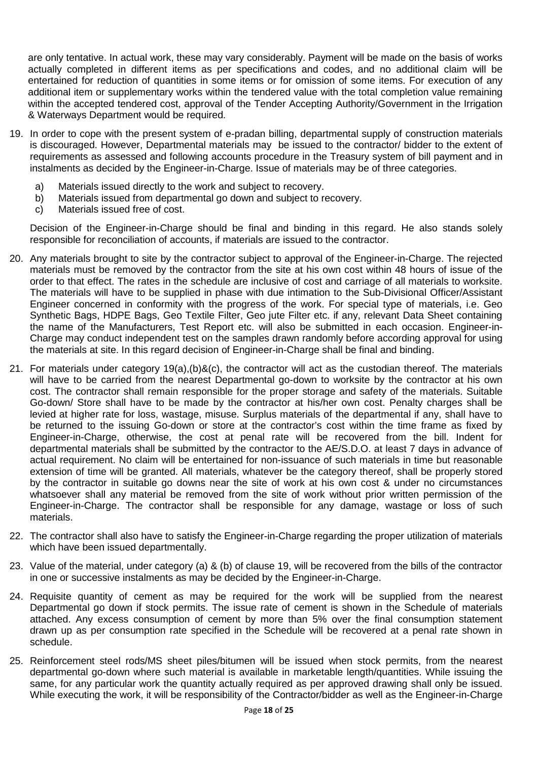are only tentative. In actual work, these may vary considerably. Payment will be made on the basis of works actually completed in different items as per specifications and codes, and no additional claim will be entertained for reduction of quantities in some items or for omission of some items. For execution of any additional item or supplementary works within the tendered value with the total completion value remaining within the accepted tendered cost, approval of the Tender Accepting Authority/Government in the Irrigation & Waterways Department would be required.

- 19. In order to cope with the present system of e-pradan billing, departmental supply of construction materials is discouraged. However, Departmental materials may be issued to the contractor/ bidder to the extent of requirements as assessed and following accounts procedure in the Treasury system of bill payment and in instalments as decided by the Engineer-in-Charge. Issue of materials may be of three categories.
	- a) Materials issued directly to the work and subject to recovery.
	- b) Materials issued from departmental go down and subject to recovery.
	- c) Materials issued free of cost.

Decision of the Engineer-in-Charge should be final and binding in this regard. He also stands solely responsible for reconciliation of accounts, if materials are issued to the contractor.

- 20. Any materials brought to site by the contractor subject to approval of the Engineer-in-Charge. The rejected materials must be removed by the contractor from the site at his own cost within 48 hours of issue of the order to that effect. The rates in the schedule are inclusive of cost and carriage of all materials to worksite. The materials will have to be supplied in phase with due intimation to the Sub-Divisional Officer/Assistant Engineer concerned in conformity with the progress of the work. For special type of materials, i.e. Geo Synthetic Bags, HDPE Bags, Geo Textile Filter, Geo jute Filter etc. if any, relevant Data Sheet containing the name of the Manufacturers, Test Report etc. will also be submitted in each occasion. Engineer-in- Charge may conduct independent test on the samples drawn randomly before according approval for using the materials at site. In this regard decision of Engineer-in-Charge shall be final and binding.
- 21. For materials under category 19(a),(b)&(c), the contractor will act as the custodian thereof. The materials will have to be carried from the nearest Departmental go-down to worksite by the contractor at his own cost. The contractor shall remain responsible for the proper storage and safety of the materials. Suitable Go-down/ Store shall have to be made by the contractor at his/her own cost. Penalty charges shall be levied at higher rate for loss, wastage, misuse. Surplus materials of the departmental if any, shall have to be returned to the issuing Go-down or store at the contractor's cost within the time frame as fixed by Engineer-in-Charge, otherwise, the cost at penal rate will be recovered from the bill. Indent for departmental materials shall be submitted by the contractor to the AE/S.D.O. at least 7 days in advance of actual requirement. No claim will be entertained for non-issuance of such materials in time but reasonable extension of time will be granted. All materials, whatever be the category thereof, shall be properly stored by the contractor in suitable go downs near the site of work at his own cost & under no circumstances whatsoever shall any material be removed from the site of work without prior written permission of the Engineer-in-Charge. The contractor shall be responsible for any damage, wastage or loss of such materials.
- 22. The contractor shall also have to satisfy the Engineer-in-Charge regarding the proper utilization of materials which have been issued departmentally.
- 23. Value of the material, under category (a) & (b) of clause 19, will be recovered from the bills of the contractor in one or successive instalments as may be decided by the Engineer-in-Charge.
- 24. Requisite quantity of cement as may be required for the work will be supplied from the nearest Departmental go down if stock permits. The issue rate of cement is shown in the Schedule of materials attached. Any excess consumption of cement by more than 5% over the final consumption statement drawn up as per consumption rate specified in the Schedule will be recovered at a penal rate shown in schedule.
- 25. Reinforcement steel rods/MS sheet piles/bitumen will be issued when stock permits, from the nearest departmental go-down where such material is available in marketable length/quantities. While issuing the same, for any particular work the quantity actually required as per approved drawing shall only be issued. While executing the work, it will be responsibility of the Contractor/bidder as well as the Engineer-in-Charge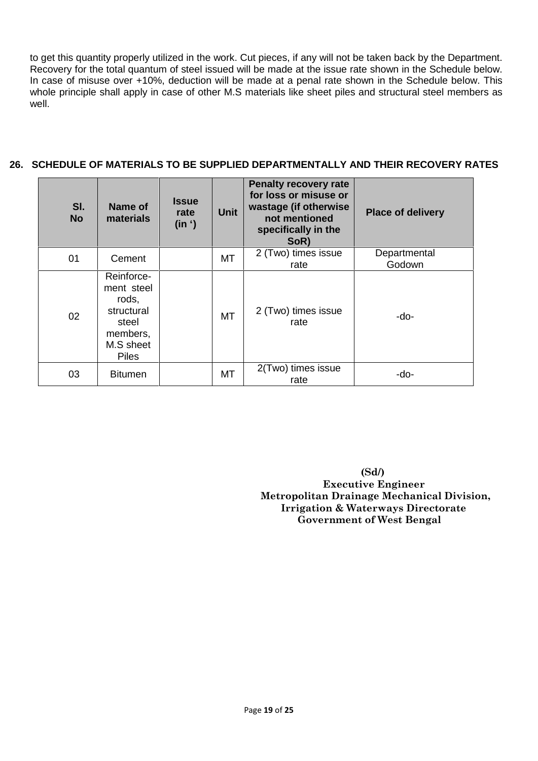to get this quantity properly utilized in the work. Cut pieces, if any will not be taken back by the Department. Recovery for the total quantum of steel issued will be made at the issue rate shown in the Schedule below. In case of misuse over +10%, deduction will be made at a penal rate shown in the Schedule below. This whole principle shall apply in case of other M.S materials like sheet piles and structural steel members as well.

# **26. SCHEDULE OF MATERIALS TO BE SUPPLIED DEPARTMENTALLY AND THEIR RECOVERY RATES**

| SI.<br><b>No</b> | Name of<br>materials                                                                              | <b>Issue</b><br>rate<br>(in ') | <b>Unit</b> | <b>Penalty recovery rate</b><br>for loss or misuse or<br>wastage (if otherwise<br>not mentioned<br>specifically in the<br>SoR) | <b>Place of delivery</b> |
|------------------|---------------------------------------------------------------------------------------------------|--------------------------------|-------------|--------------------------------------------------------------------------------------------------------------------------------|--------------------------|
| 01               | Cement                                                                                            |                                | МT          | 2 (Two) times issue<br>rate                                                                                                    | Departmental<br>Godown   |
| 02               | Reinforce-<br>ment steel<br>rods,<br>structural<br>steel<br>members,<br>M.S sheet<br><b>Piles</b> |                                | MT          | 2 (Two) times issue<br>rate                                                                                                    | -do-                     |
| 03               | <b>Bitumen</b>                                                                                    |                                | <b>MT</b>   | 2(Two) times issue<br>rate                                                                                                     | -do-                     |

**(Sd/) Executive Engineer Metropolitan Drainage Mechanical Division, Irrigation & Waterways Directorate Government of West Bengal**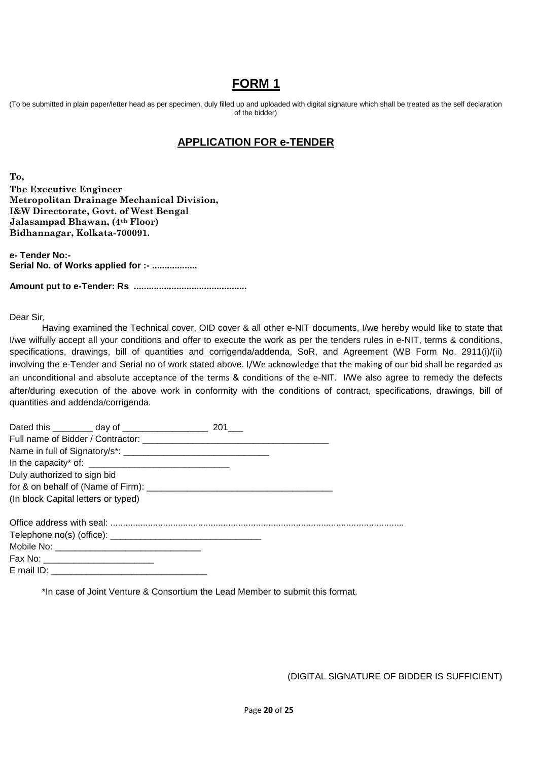# **FORM 1**

(To be submitted in plain paper/letter head as per specimen, duly filled up and uploaded with digital signature which shall be treated as the self declaration of the bidder)

# **APPLICATION FOR e-TENDER**

**To, The Executive Engineer Metropolitan Drainage Mechanical Division, I&W Directorate, Govt. of West Bengal Jalasampad Bhawan, (4th Floor) Bidhannagar, Kolkata-700091.**

**e- Tender No:- Serial No. of Works applied for :- ..................**

**Amount put to e-Tender: Rs .............................................**

Dear Sir,

Having examined the Technical cover, OID cover & all other e-NIT documents, I/we hereby would like to state that I/we wilfully accept all your conditions and offer to execute the work as per the tenders rules in e-NIT, terms & conditions, specifications, drawings, bill of quantities and corrigenda/addenda, SoR, and Agreement (WB Form No. 2911(i)/(ii) involving the e-Tender and Serial no of work stated above. I/We acknowledge that the making of our bid shall be regarded as an unconditional and absolute acceptance of the terms & conditions of the e-NIT. I/We also agree to remedy the defects after/during execution of the above work in conformity with the conditions of contract, specifications, drawings, bill of quantities and addenda/corrigenda.

| Duly authorized to sign bid          |  |
|--------------------------------------|--|
|                                      |  |
| (In block Capital letters or typed)  |  |
|                                      |  |
|                                      |  |
|                                      |  |
| Fax No: ____________________________ |  |
|                                      |  |

\*In case of Joint Venture & Consortium the Lead Member to submit this format.

(DIGITAL SIGNATURE OF BIDDER IS SUFFICIENT)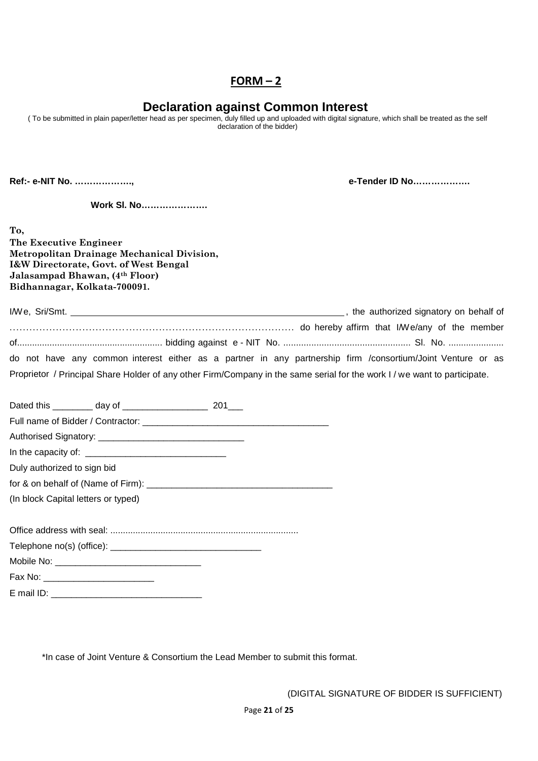# $FORM - 2$

# **Declaration against Common Interest**

( To be submitted in plain paper/letter head as per specimen, duly filled up and uploaded with digital signature, which shall be treated as the self declaration of the bidder)

**Ref:- e-NIT No. ………………., e-Tender ID No……………….**

**Work Sl. No………………….**

**To,**

**The Executive Engineer Metropolitan Drainage Mechanical Division, I&W Directorate, Govt. of West Bengal Jalasampad Bhawan, (4th Floor) Bidhannagar, Kolkata-700091.**

|                                                                                                                           | the authorized signatory on behalf of |
|---------------------------------------------------------------------------------------------------------------------------|---------------------------------------|
| do hereby affirm that IWe/any of the member                                                                               |                                       |
|                                                                                                                           |                                       |
| do not have any common interest either as a partner in any partnership firm /consortium/Joint Venture or as               |                                       |
| Proprietor / Principal Share Holder of any other Firm/Company in the same serial for the work I / we want to participate. |                                       |

| Duly authorized to sign bid |                                     |  |
|-----------------------------|-------------------------------------|--|
|                             |                                     |  |
|                             | (In block Capital letters or typed) |  |
|                             |                                     |  |
|                             |                                     |  |
|                             |                                     |  |
|                             | Fax No: ___________________________ |  |
|                             |                                     |  |

E mail ID: \_\_\_\_\_\_\_\_\_\_\_\_\_\_\_\_\_\_\_\_\_\_\_\_\_\_\_\_\_\_

\*In case of Joint Venture & Consortium the Lead Member to submit this format.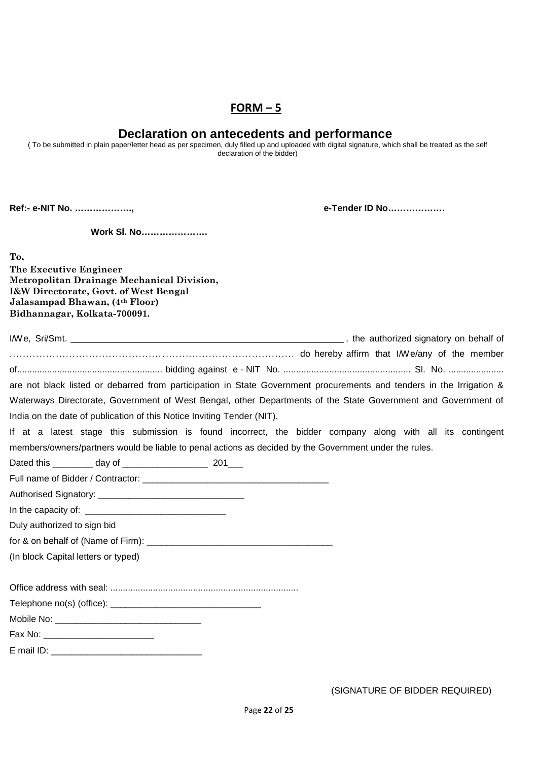# **FORM – 5**

# **Declaration on antecedents and performance**

( To be submitted in plain paper/letter head as per specimen, duly filled up and uploaded with digital signature, which shall be treated as the self declaration of the bidder)

**Ref:- e-NIT No. ………………., e-Tender ID No……………….**

**Work Sl. No………………….**

**To,**

**The Executive Engineer Metropolitan Drainage Mechanical Division, I&W Directorate, Govt. of West Bengal Jalasampad Bhawan, (4th Floor) Bidhannagar, Kolkata-700091.**

| are not black listed or debarred from participation in State Government procurements and tenders in the Irrigation & |  |
|----------------------------------------------------------------------------------------------------------------------|--|
| Waterways Directorate, Government of West Bengal, other Departments of the State Government and Government of        |  |
| India on the date of publication of this Notice Inviting Tender (NIT).                                               |  |
| If at a latest stage this submission is found incorrect, the bidder company along with all its contingent            |  |
| members/owners/partners would be liable to penal actions as decided by the Government under the rules.               |  |
|                                                                                                                      |  |
|                                                                                                                      |  |
|                                                                                                                      |  |
|                                                                                                                      |  |
| Duly authorized to sign bid                                                                                          |  |
|                                                                                                                      |  |
| (In block Capital letters or typed)                                                                                  |  |
|                                                                                                                      |  |
|                                                                                                                      |  |
|                                                                                                                      |  |
|                                                                                                                      |  |
|                                                                                                                      |  |
|                                                                                                                      |  |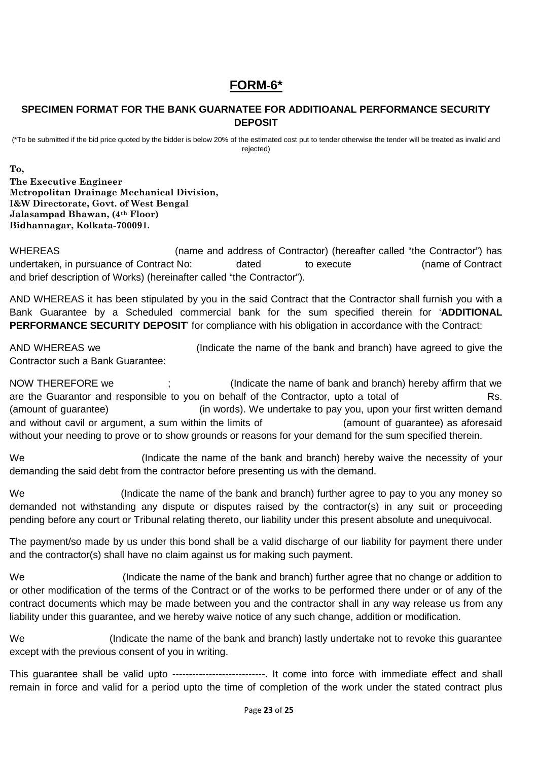# **FORM-6\***

# **SPECIMEN FORMAT FOR THE BANK GUARNATEE FOR ADDITIOANAL PERFORMANCE SECURITY DEPOSIT**

(\*To be submitted if the bid price quoted by the bidder is below 20% of the estimated cost put to tender otherwise the tender will be treated as invalid and rejected)

**To,**

**The Executive Engineer Metropolitan Drainage Mechanical Division, I&W Directorate, Govt. of West Bengal Jalasampad Bhawan, (4th Floor) Bidhannagar, Kolkata-700091.**

WHEREAS (name and address of Contractor) (hereafter called "the Contractor") has undertaken, in pursuance of Contract No: dated to execute (name of Contract and brief description of Works) (hereinafter called "the Contractor").

AND WHEREAS it has been stipulated by you in the said Contract that the Contractor shall furnish you with a Bank Guarantee by a Scheduled commercial bank for the sum specified therein for '**ADDITIONAL PERFORMANCE SECURITY DEPOSIT**' for compliance with his obligation in accordance with the Contract:

AND WHEREAS we (Indicate the name of the bank and branch) have agreed to give the Contractor such a Bank Guarantee:

NOW THEREFORE we :  $\cdot$  ; (Indicate the name of bank and branch) hereby affirm that we are the Guarantor and responsible to you on behalf of the Contractor, upto a total of Rs. (amount of guarantee) (in words). We undertake to pay you, upon your first written demand and without cavil or argument, a sum within the limits of **Example 20** (amount of guarantee) as aforesaid without your needing to prove or to show grounds or reasons for your demand for the sum specified therein.

We **South Controller Controller in the name of the bank and branch**) hereby waive the necessity of your demanding the said debt from the contractor before presenting us with the demand.

We (Indicate the name of the bank and branch) further agree to pay to you any money so demanded not withstanding any dispute or disputes raised by the contractor(s) in any suit or proceeding pending before any court or Tribunal relating thereto, our liability under this present absolute and unequivocal.

The payment/so made by us under this bond shall be a valid discharge of our liability for payment there under and the contractor(s) shall have no claim against us for making such payment.

We (Indicate the name of the bank and branch) further agree that no change or addition to or other modification of the terms of the Contract or of the works to be performed there under or of any of the contract documents which may be made between you and the contractor shall in any way release us from any liability under this guarantee, and we hereby waive notice of any such change, addition or modification.

We **Starpe in the name of the bank and branch**) lastly undertake not to revoke this quarantee except with the previous consent of you in writing.

This guarantee shall be valid upto ----------------------------. It come into force with immediate effect and shall remain in force and valid for a period upto the time of completion of the work under the stated contract plus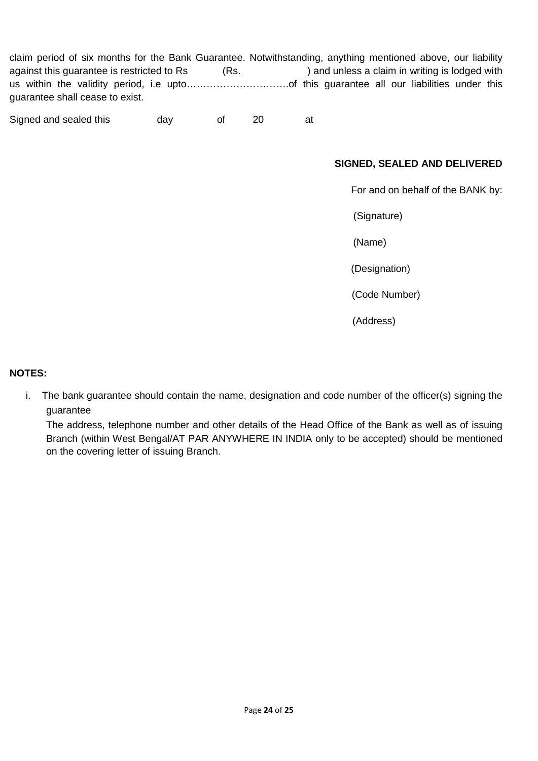claim period of six months for the Bank Guarantee. Notwithstanding, anything mentioned above, our liability against this guarantee is restricted to Rs (Rs. ) and unless a claim in writing is lodged with us within the validity period, i.e upto………………………….of this guarantee all our liabilities under this guarantee shall cease to exist.

Signed and sealed this day of 20 at

# **SIGNED, SEALED AND DELIVERED**

For and on behalf of the BANK by:

(Signature)

(Name)

(Designation)

(Code Number)

(Address)

#### **NOTES:**

i. The bank guarantee should contain the name, designation and code number of the officer(s) signing the guarantee

The address, telephone number and other details of the Head Office of the Bank as well as of issuing Branch (within West Bengal/AT PAR ANYWHERE IN INDIA only to be accepted) should be mentioned on the covering letter of issuing Branch.